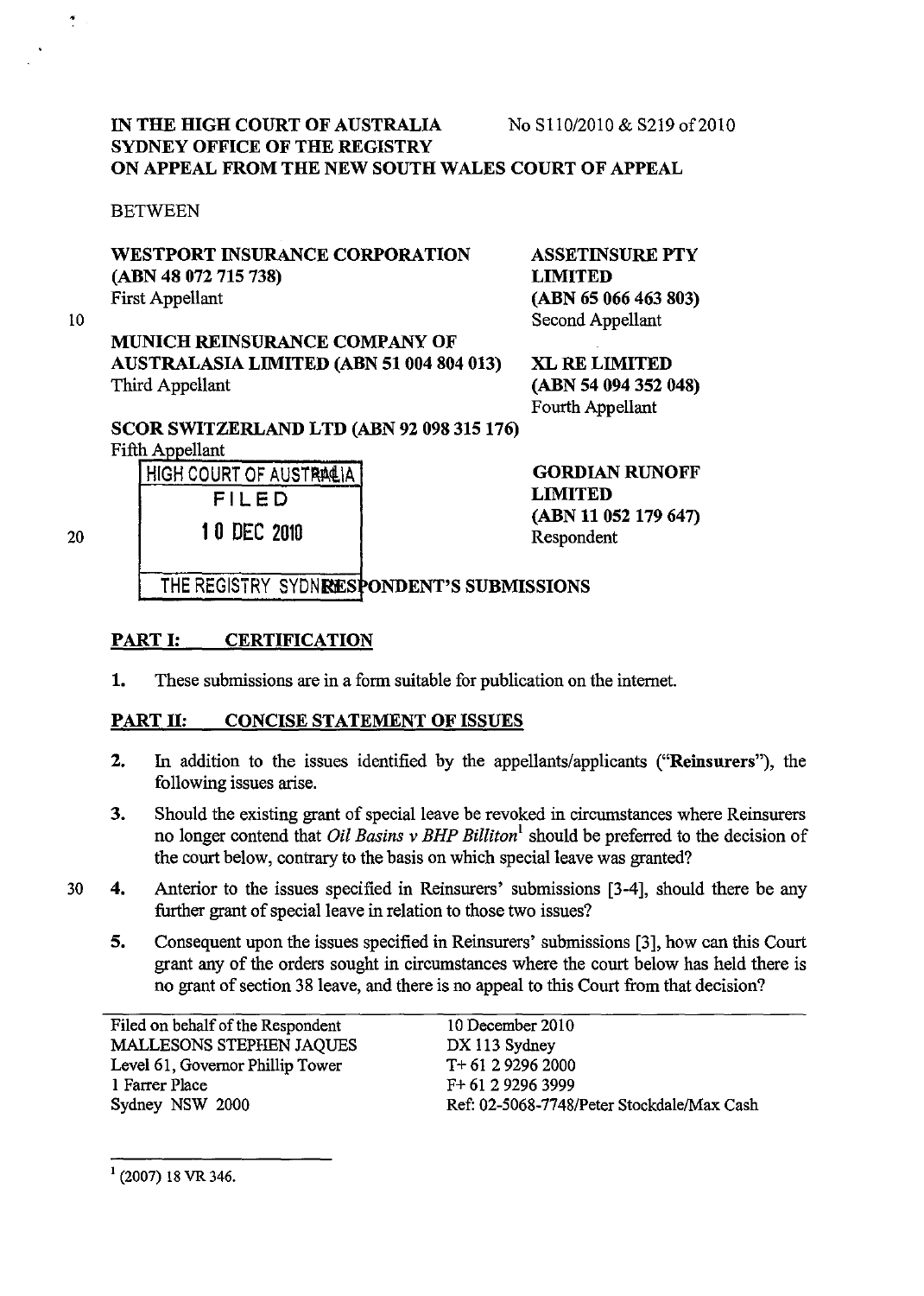## IN THE HIGH COURT OF AUSTRALIA No S110/2010 & S219 of 2010 SYDNEY OFFICE OF THE REGISTRY ON APPEAL FROM THE NEW SOUTH WALES COURT OF APPEAL

#### BETWEEN

## WESTPORT INSURANCE CORPORATION (ABN 48 072 715 738) First Appellant

10

 $\ddot{\cdot}$ 

MUNICH REINSURANCE COMPANY OF AUSTRALASIA LIMITED (ABN 51 004 804 013) Third Appellant

ASSETINSURE PTY LIMITED (ABN 65 066 463 803) Second Appellant

XL RE LIMITED (ABN 54 094 352 048) Fourth Appellant

SCOR SWITZERLAND LTD (ABN 92 098 315 176) Fifth Appellant

HIGH COURT OF AUSTRACIA FILED 1 0 DEe 2010

GORDIAN RUNOFF LIMITED (ABN 11 052 179 647) Respondent

20

THE REGISTRY SYDNRESPONDENT'S SUBMISSIONS

## PART I: CERTIFICATION

1. These submissions are in a form suitable for publication on the internet.

## PART II: CONCISE STATEMENT OF ISSUES

- 2. In addition to the issues identified by the appellants/applicants ("Reinsurers"), the following issues arise.
- 3. Should the existing grant of special leave be revoked in circumstances where Reinsurers no longer contend that *Oil Basins v BHP Billiton*<sup>1</sup> should be preferred to the decision of the court below, contrary to the basis on which special leave was granted?
- 30 4. Anterior to the issues specified in Reinsurers' submissions [3-4], should there be any further grant of special leave in relation to those two issues?
	- 5. Consequent upon the issues specified in Reinsurers' submissions [3], how can this Court grant any of the orders sought in circumstances where the court below has held there is no grant of section 38 leave, and there is no appeal to this Court from that decision?

Filed on behalf of the Respondent MALLESONS STEPHEN JAQUES Level 61, Governor Phillip Tower 1 Farrer Place Sydney NSW 2000

10 December 2010 DX 113 Sydney T+ 61 2 9296 2000 F+ 61 2 9296 3999 Ref: 02-5068-7748/Peter Stockdale/Max Cash

 $<sup>1</sup>$  (2007) 18 VR 346.</sup>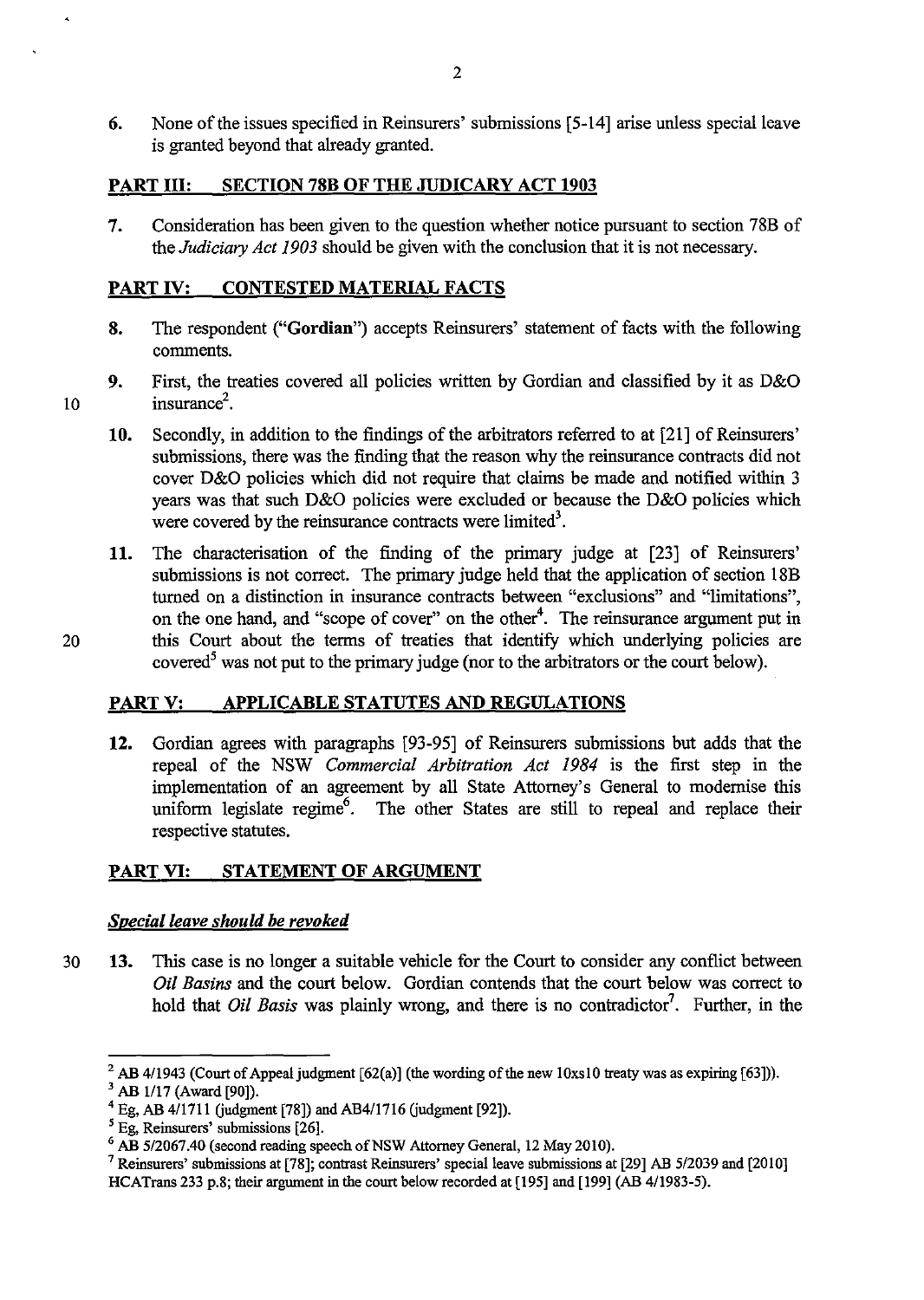6. None of the issues specified in Reinsurers' submissions [5-14] arise unless special leave is granted beyond that already granted.

## PART III: SECTION 78B OF THE JUDICARY ACT 1903

7. Consideration has been given to the question whether notice pursuant to section 78B of the *Judiciary Act 1903* should be given with the conclusion that it is not necessary.

## PART IV: CONTESTED MATERIAL FACTS

- 8. The respondent ("Gordian") accepts Reinsurers' statement of facts with the following comments.
- 9. First, the treaties covered all policies written by Gordian and classified by it as D&O 10 insurance<sup>2</sup>.
	- 10. Secondly, in addition to the findings of the arbitrators referred to at [21] of Reinsurers' submissions, there was the finding that the reason why the reinsurance contracts did not cover D&O policies which did not require that claims be made and notified within 3 years was that such D&O policies were excluded or because the D&O policies which were covered by the reinsurance contracts were limited<sup>3</sup>.
- 11. The characterisation of the finding of the primary judge at [23] of Reinsurers' submissions is not correct. The primary judge held that the application of section 18B turned on a distinction in insurance contracts between "exclusions" and "limitations", on the one hand, and "scope of cover" on the other<sup>4</sup>. The reinsurance argument put in 20 this Court about the terms of treaties that identify which underlying policies are covered<sup>5</sup> was not put to the primary judge (nor to the arbitrators or the court below).

## PART V: APPLICABLE STATUTES AND REGULATIONS

12. Gordian agrees with paragraphs [93-95] of Reinsurers submissions but adds that the repeal of the NSW *Commercial Arbitration Act* 1984 is the first step in the implementation of an agreement by all State Attorney's General to modernise this uniform legislate regime<sup>6</sup>. The other States are still to repeal and replace their respective statutes.

## PART VI: STATEMENT OF ARGUMENT

#### *Special leave should be revoked*

30 13. This case is no longer a suitable vehicle for the Court to consider any conflict between Oil *Basins* and the court below. Gordian contends that the court below was correct to hold that *Oil Basis* was plainly wrong, and there is no contradictor<sup>7</sup>. Further, in the

<sup>&</sup>lt;sup>2</sup> AB 4/1943 (Court of Appeal judgment [62(a)] (the wording of the new 10xs10 treaty was as expiring [63])).

 $3$  AB 1/17 (Award [90]).

 $4$  Eg, AB 4/1711 (judgment [78]) and AB4/1716 (judgment [92]).

 $<sup>5</sup>$  Eg, Reinsurers' submissions [26].</sup>

<sup>6</sup> AB *5/2067.40* (second reading speech of NSW Attorney General, 12 May 2010).

<sup>7</sup> Reinsurers' submissions at [78]; contrast Reinsurers' special leave submissions at [29] AB *5/2039* and [2010]

HCATrans 233 p.8; their argument in the court below recorded at [195] and [199] (AB 411983-5).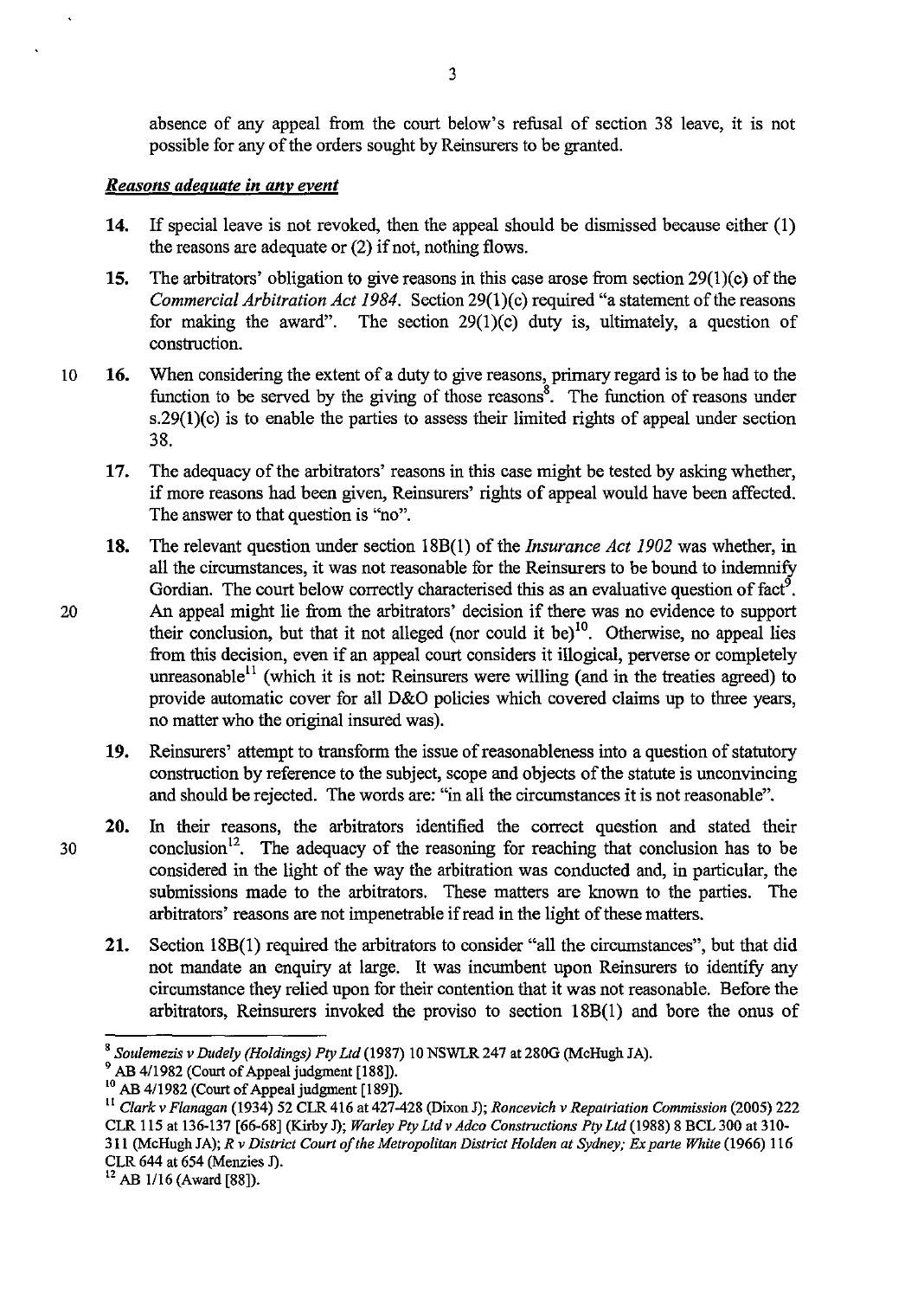absence of any appeal from the court below's refusal of section 38 leave, it is not possible for any of the orders sought by Reinsurers to be granted.

#### *Reasons adequate in anv event*

- 14. If special leave is not revoked, then the appeal should be dismissed because either (1) the reasons are adequate or (2) if not, nothing flows.
- 15. The arbitrators' obligation to give reasons in this case arose from section  $29(1)(c)$  of the *Commercial Arbitration Act 1984.* Section 29(1)(c) required "a statement of the reasons for making the award". The section  $29(1)(c)$  duty is, ultimately, a question of construction.
- 10 16. When considering the extent of a duty to give reasons, primary regard is to be had to the function to be served by the giving of those reasons<sup>8</sup>. The function of reasons under  $s.29(1)(c)$  is to enable the parties to assess their limited rights of appeal under section 38.
	- 17. The adequacy of the arbitrators' reasons in this case might be tested by asking whether, if more reasons had been given, Reinsurers' rights of appeal would have been affected. The answer to that question is "no".
- 18. The relevant question under section 18B(1) of the *Insurance Act 1902* was whether, in all the circumstances, it was not reasonable for the Reinsurers to be bound to indemnify Gordian. The court below correctly characterised this as an evaluative question of fact<sup>9</sup>. 20 An appeal might lie from the arbitrators' decision if there was no evidence to support their conclusion, but that it not alleged (nor could it be)<sup>10</sup>. Otherwise, no appeal lies from this decision, even if an appeal court considers it illogical, perverse or completely unreasonable<sup>11</sup> (which it is not: Reinsurers were willing (and in the treaties agreed) to provide automatic cover for all D&O policies which covered claims up to three years, no matter who the original insured was).
	- 19. Reinsurers' attempt to transform the issue of reasonableness into a question of statutory construction by reference to the subject, scope and objects of the statute is unconvincing and should be rejected. The words are: "in all the circumstances it is not reasonable".
- 20. In their reasons, the arbitrators identified the correct question and stated their  $30$  conclusion<sup>12</sup>. The adequacy of the reasoning for reaching that conclusion has to be considered in the light of the way the arbitration was conducted and, in particular, the submissions made to the arbitrators. These matters are known to the parties. The arbitrators' reasons are not impenetrable if read in the light of these matters.
	- 21. Section l8B(1) required the arbitrators to consider "all the circumstances", but that did not mandate an enquiry at large. It was incumbent upon Reinsurers to identify any circumstance they relied upon for their contention that it was not reasonable. Before the arbitrators, Reinsurers invoked the proviso to section 18B(1) and bore the onus of

CLR 644 al 654 (Menzies J).

<sup>8</sup> *Soulemezis v Dudely (Holdings) Ply Ltd* (1987) 10 NSWLR 247 at 280G (McHugh JA).

<sup>&</sup>lt;sup>9</sup> AB 4/1982 (Court of Appeal judgment [188]).

<sup>&</sup>lt;sup>10</sup> AB 4/1982 (Court of Appeal judgment [189]).

<sup>&</sup>lt;sup>11</sup> Clark v Flanagan (1934) 52 CLR 416 at 427-428 (Dixon J); *Roncevich v Repatriation Commission* (2005) 222 CLR 115 al 136-137 [66-68] (Kirby J); *Warley Ply Ltd v Adco Constructions Ply Ltd* (1988) 8 BCL 300 a1310- 311 (McHugh JA); *R v District Court of the Metropolitan District Holden at Sydney; Ex parte White* (1966) 116

 $12$  AB 1/16 (Award [88]).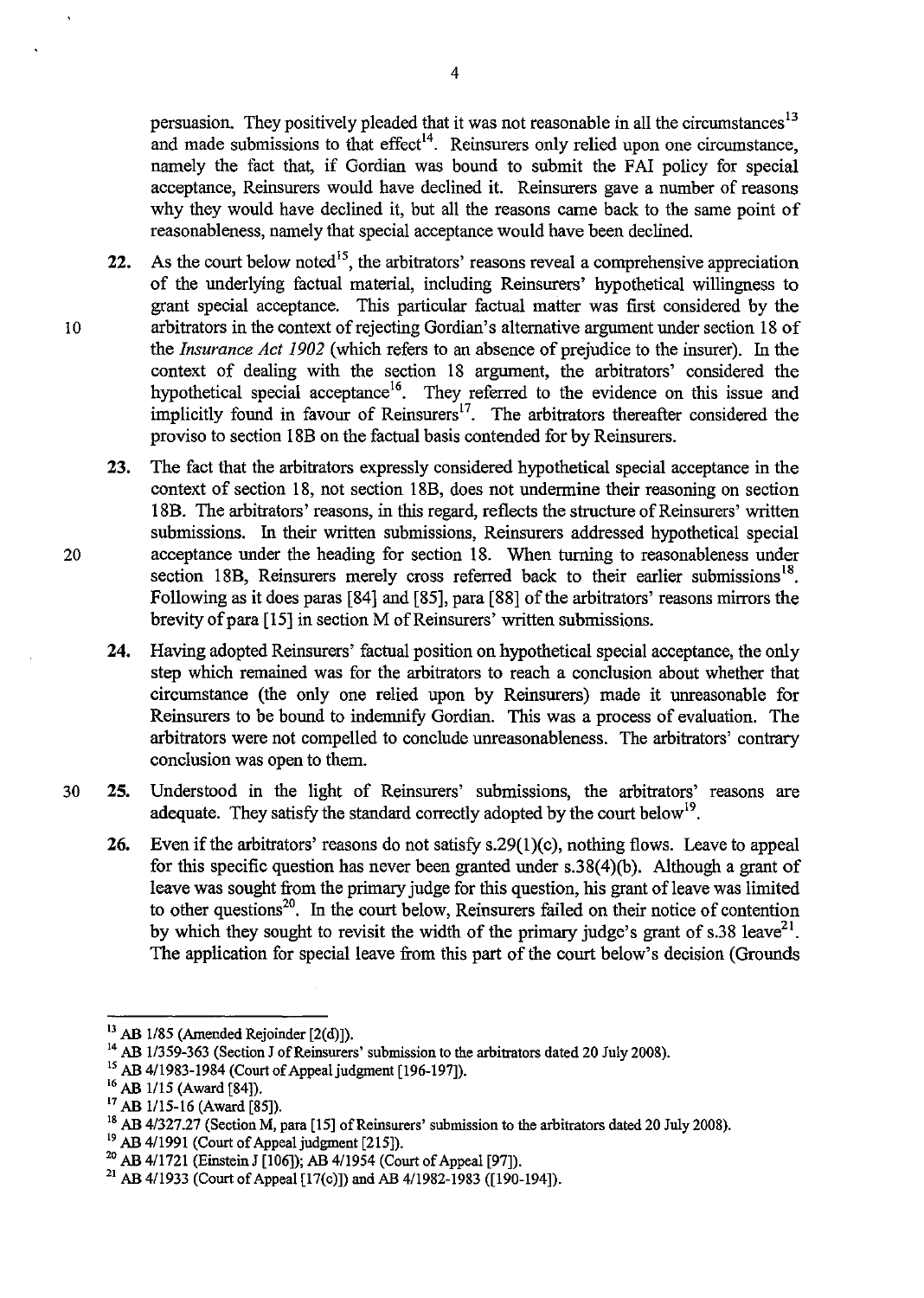persuasion. They positively pleaded that it was not reasonable in all the circumstances<sup>13</sup> and made submissions to that effect<sup>14</sup>. Reinsurers only relied upon one circumstance, namely the fact that, if Gordian was bound to submit the FAI policy for special acceptance, Reinsurers would have declined it. Reinsurers gave a number of reasons why they would have declined it, but all the reasons came back to the same point of reasonableness, namely that special acceptance would have been declined.

- **22.** As the court below noted<sup>15</sup>, the arbitrators' reasons reveal a comprehensive appreciation of the underlying factual material, including Reinsurers' hypothetical willingness to grant special acceptance. This particular factual matter was first considered by the 10 arbitrators in the context of rejecting Gordian's alternative argument under section 18 of the *Insurance Act 1902* (which refers to an absence of prejudice to the insurer). In the context of dealing with the section 18 argument, the arbitrators' considered the hypothetical special acceptance<sup>16</sup>. They referred to the evidence on this issue and implicitly found in favour of Reinsurers<sup>17</sup>. The arbitrators thereafter considered the proviso to section 18B on the factual basis contended for by Reinsurers.
- **23.** The fact that the arbitrators expressly considered hypothetical special acceptance in the context of section 18, not section 18B, does not undermine their reasoning on section 18B. The arbitrators' reasons, in this regard, reflects the structure of Reinsurers' written submissions. In their written submissions, Reinsurers addressed hypothetical special 20 acceptance under the heading for section 18. When turning to reasonableness under section 18B, Reinsurers merely cross referred back to their earlier submissions<sup>18</sup>. Following as it does paras [84] and [85], para [88] of the arbitrators' reasons mirrors the brevity of para [15] in section M of Reinsurers' written submissions.
	- **24.** Having adopted Reinsurers' factual position on hypothetical special acceptance, the only step which remained was for the arbitrators to reach a conclusion about whether that circumstance (the only one relied upon by Reinsurers) made it uureasonable for Reinsurers to be bound to indemnify Gordian. This was a process of evaluation. The arbitrators were not compelled to conclude uureasonableness. The arbitrators' contrary conclusion was open to them.
- 30 **25.** Understood in the light of Reinsurers' submissions, the arbitrators' reasons are adequate. They satisfy the standard correctly adopted by the court below<sup>19</sup>.
	- **26.** Even if the arbitrators' reasons do not satisfy s.29(1)(c), nothing flows. Leave to appeal for this specific question has never been granted under s.38(4)(b). Although a grant of leave was sought from the primary judge for this question, his grant of leave was limited to other questions<sup>20</sup>. In the court below, Reinsurers failed on their notice of contention by which they sought to revisit the width of the primary judge's grant of s.38 leave<sup>21</sup>. The application for special leave from this part of the court below's decision (Grounds

 $^{13}$  AB 1/85 (Amended Rejoinder [2(d)]).

<sup>&</sup>lt;sup>14</sup> AB 1/359-363 (Section J of Reinsurers' submission to the arbitrators dated 20 July 2008).

<sup>15</sup> AB 4/1983-1984 (Court of Appeal judgment [196-197]).

<sup>&</sup>lt;sup>16</sup> AB 1/15 (Award [84]).<br><sup>17</sup> AB 1/15-16 (Award [85]).

<sup>&</sup>lt;sup>18</sup> AB 4/327.27 (Section M, para [15] of Reinsurers' submission to the arbitrators dated 20 July 2008).

<sup>&</sup>lt;sup>19</sup> AB 4/1991 (Court of Appeal judgment [215]).

<sup>20</sup> AB 4/1721 (Einstein J [106]); AB 4/1954 (Court of Appeal [97]).

<sup>&</sup>lt;sup>21</sup> AB 4/1933 (Court of Appeal [17(c)]) and AB 4/1982-1983 ([190-194]).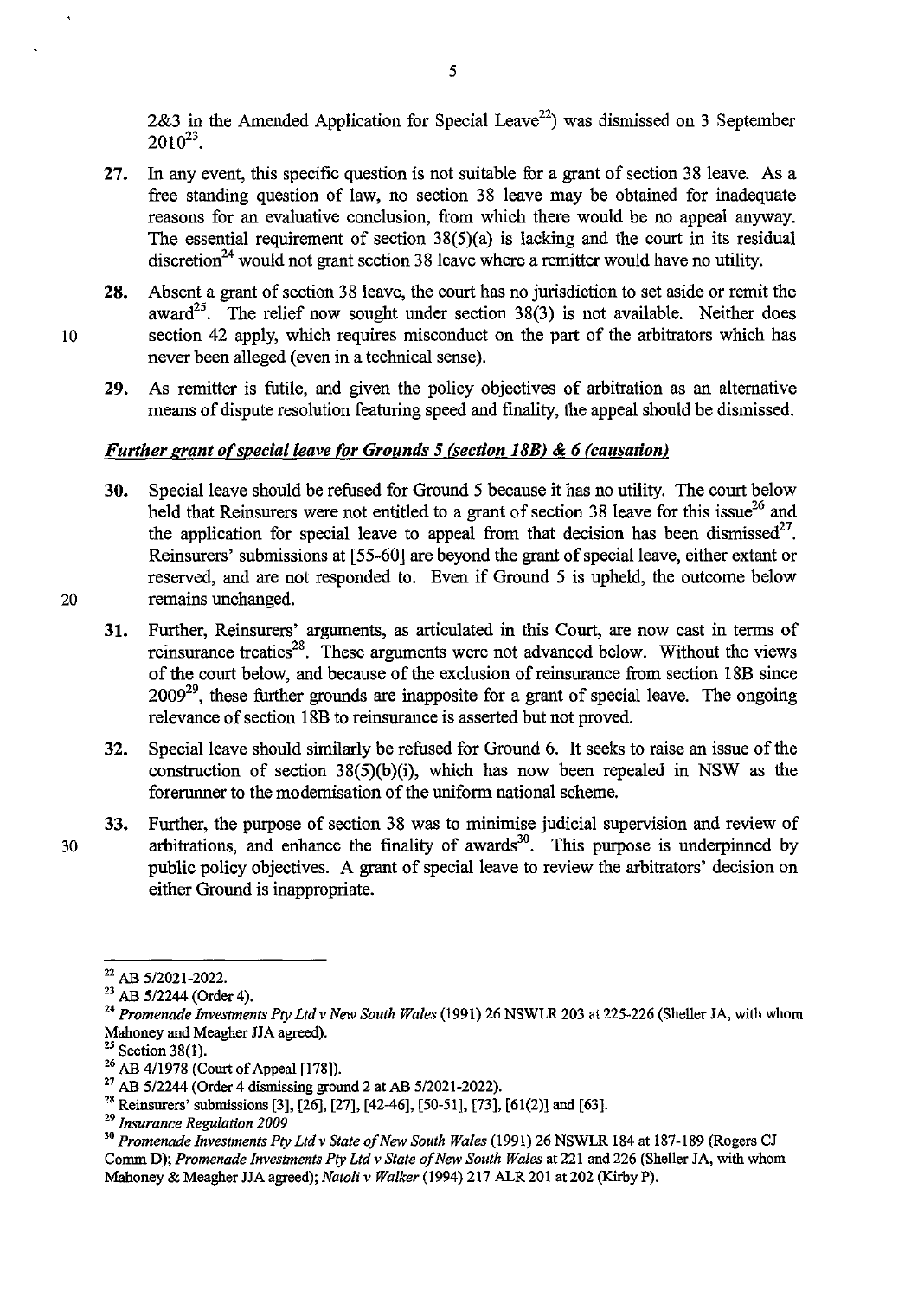2&3 in the Amended Application for Special Leave<sup>22</sup>) was dismissed on 3 September  $2010^{23}$ .

- 27. In any event, this specific question is not suitable for a grant of section 38 leave. As a free standing question of law, no section 38 leave may be obtained for inadequate reasons for an evaluative conclusion, from which there would be no appeal anyway. The essential requirement of section 38(5)(a) is lacking and the court in its residual discretion<sup>24</sup> would not grant section 38 leave where a remitter would have no utility.
- 28. Absent a grant of section 38 leave, the court has no jurisdiction to set aside or remit the award<sup>25</sup>. The relief now sought under section  $38(3)$  is not available. Neither does 10 section 42 apply, which requires misconduct on the part of the arbitrators which has never been alleged (even in a technical sense).
	- 29. As remitter is futile, and given the policy objectives of arbitration as an alternative means of dispute resolution featuring speed and finality, the appeal should be dismissed.

## *Further grant of special leave for Grounds* 5 *(section 18B)* & 6 *(causation)*

- 30. Special leave should be refused for Ground 5 because it has no utility. The court below held that Reinsurers were not entitled to a grant of section 38 leave for this issue<sup>26</sup> and the application for special leave to appeal from that decision has been dismissed<sup>27</sup>. Reinsurers' submissions at [55-60] are beyond the grant of special leave, either extant or reserved, and are not responded to. Even if Ground 5 is upheld, the outcome below 20 remains unchanged.
- 
- 31. Further, Reinsurers' arguments, as articulated in this Court, are now cast in terms of reinsurance treaties<sup>28</sup>. These arguments were not advanced below. Without the views of the court below, and because of the exclusion of reinsurance from section 18B since  $2009^{29}$ , these further grounds are inapposite for a grant of special leave. The ongoing relevance of section 18B to reinsurance is asserted but not proved.
- 32. Special leave should similarly be refused for Ground 6. It seeks to raise an issue of the construction of section 38(5)(b)(i), which has now been repealed in NSW as the forerunner to the modernisation of the uniform national scheme.
- 33. Further, the purpose of section 38 was to minimise judicial supervision and review of 30 arbitrations, and enhance the finality of awards<sup>30</sup>. This purpose is underpinned by public policy objectives. A grant of special leave to review the arbitrators' decision on either Ground is inappropriate.

<sup>22</sup> AB *5/2021-2022.* 

<sup>23</sup> AB *5/2244* (Order 4).

<sup>&</sup>lt;sup>24</sup> Promenade Investments Pty Ltd v New South Wales (1991) 26 NSWLR 203 at 225-226 (Sheller JA, with whom Mahoney and Meagher HA agreed).

 $25$  Section 38(1).

 $^{26}$  AB 4/1978 (Court of Appeal [178]).

<sup>27</sup> AB *5/2244* (Order 4 dismissing ground 2 at AB 5/2021-2022).

<sup>28</sup> Reinsurers' submissions [3], [26], [27], [42-46], [50-51], [73], [61(2)] and [63].

*<sup>29</sup> Insurance Regulation 2009* 

*<sup>,0</sup> Promenade Investments Ply Ltdv State of New South Wales* (1991) 26 NSWLR 184 at 187-189 (Rogers CJ Comm D); *Promenade Investments Ply Ltd v State of New South Wales* at 221 and 226 (Sheller JA, with whom Mahoney & Meagher HA agreed); *Natoliv Walker* (1994) 217 ALR 201 at 202 (KirbyP).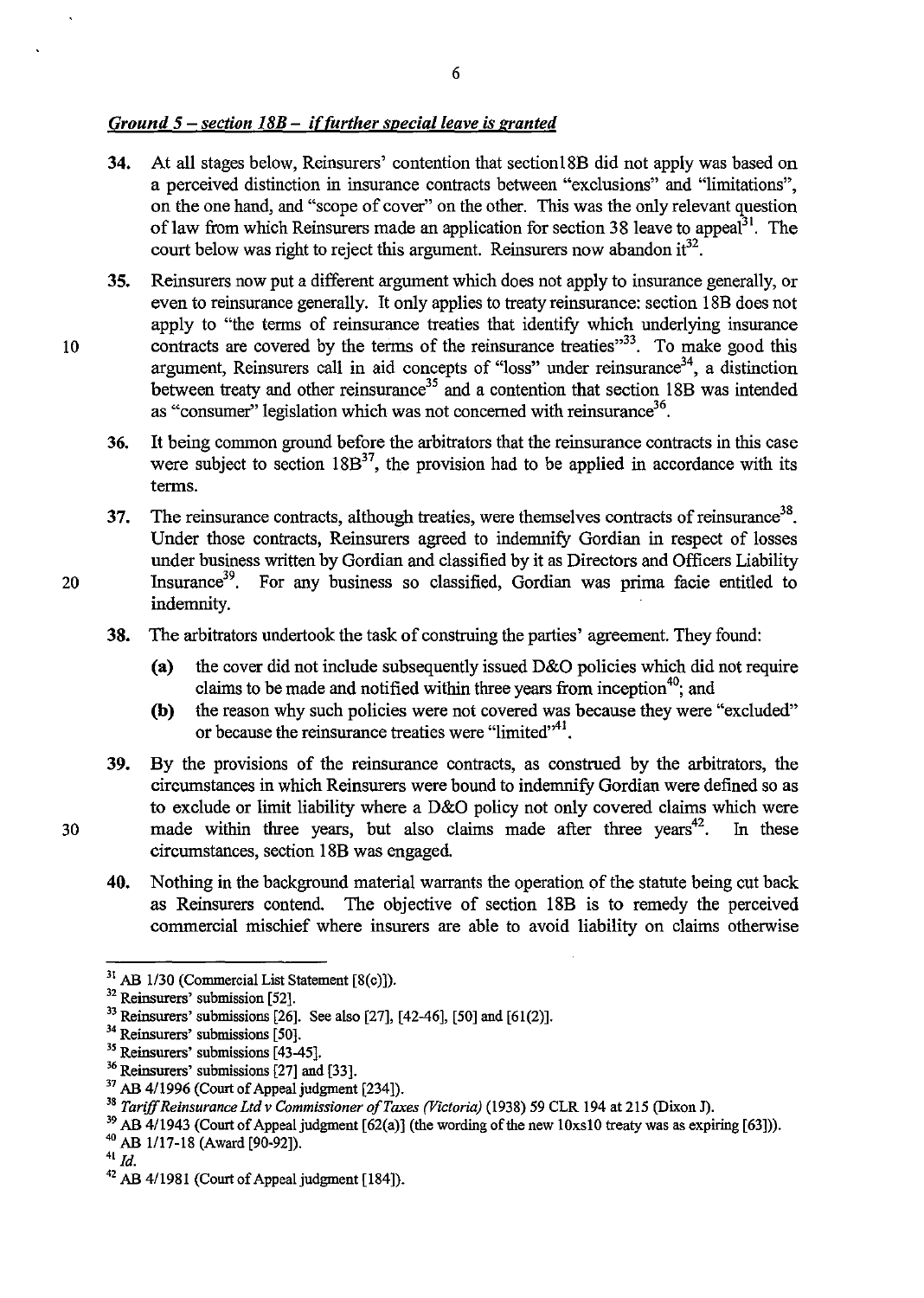## *Ground* 5 - *section 18B* - *iffurther special leave is granted*

- 34. At all stages below, Reinsurers' contention that sectionl8B did not apply was based on a perceived distinction in insurance contracts between "exclusions" and "limitations", on the one hand, and "scope of cover" on the other. This was the only relevant question of law from which Reinsurers made an application for section 38 leave to appeal<sup>31</sup>. The court below was right to reject this argument. Reinsurers now abandon it  $3^2$ .
- 35. Reinsurers now put a different argument which does not apply to insurance generally, or even to reinsurance generally. It only applies to treaty reinsurance: section 18B does not apply to "the terms of reinsurance treaties that identify which underlying insurance 10 contracts are covered by the terms of the reinsurance treaties<sup>33</sup>. To make good this argument, Reinsurers call in aid concepts of "loss" under reinsurance<sup>34</sup>, a distinction between treaty and other reinsurance<sup>35</sup> and a contention that section 18B was intended as "consumer" legislation which was not concerned with reinsurance<sup>36</sup>.
	- 36. It being common ground before the arbitrators that the reinsurance contracts in this case were subject to section  $18B^{37}$ , the provision had to be applied in accordance with its terms.
- 37. The reinsurance contracts, although treaties, were themselves contracts of reinsurance<sup>38</sup>. Under those contracts, Reinsurers agreed to indemnify Gordian in respect of losses under business written by Gordian and classified by it as Directors and Officers Liability 20 Insurance<sup>39</sup>. For any business so classified, Gordian was prima facie entitled to indemnity.
	- 38. The arbitrators undertook the task of construing the parties' agreement. They found:
		- (a) the cover did not include subsequently issued D&O policies which did not require claims to be made and notified within three years from inception<sup>40</sup>; and
		- (b) the reason why such policies were not covered was because they were "excluded" or because the reinsurance treaties were "limited"<sup>41</sup>.
- 39. By the provisions of the reinsurance contracts, as construed by the arbitrators, the circumstances in which Reinsurers were bound to indemnify Gordian were defined so as to exclude or limit liability where a D&O policy not only covered claims which were  $30$  made within three years, but also claims made after three years<sup>42</sup>. In these circumstances, section 18B was engaged.
	- 40. Nothing in the background material warrants the operation of the statute being cut back as Reinsurers contend. The objective of section 18B is to remedy the perceived commercial mischief where insurers are able to avoid liability on claims otherwise

 $31$  AB 1/30 (Commercial List Statement [8(c)]).

<sup>32</sup> Reinsurers' submission [52].

<sup>&</sup>lt;sup>33</sup> Reinsurers' submissions [26]. See also [27], [42-46], [50] and [61(2)].

<sup>&</sup>lt;sup>34</sup> Reinsurers' submissions [50].

 $35$  Reinsurers' submissions [43-45].

<sup>&</sup>lt;sup>36</sup> Reinsurers' submissions [27] and [33].

<sup>&</sup>lt;sup>37</sup> AB 4/1996 (Court of Appeal judgment [234]).

<sup>&</sup>lt;sup>38</sup> Tariff Reinsurance Ltd v Commissioner of Taxes (Victoria) (1938) 59 CLR 194 at 215 (Dixon J).

<sup>&</sup>lt;sup>39</sup> AB 4/1943 (Court of Appeal judgment [62(a)] (the wording of the new 10xs10 treaty was as expiring [63])).

<sup>40</sup> AB 1117-18 (Award [90-92]).

<sup>41</sup>*Id.* 

<sup>42</sup> AB 4/1981 (Court of Appeal judgment [184]).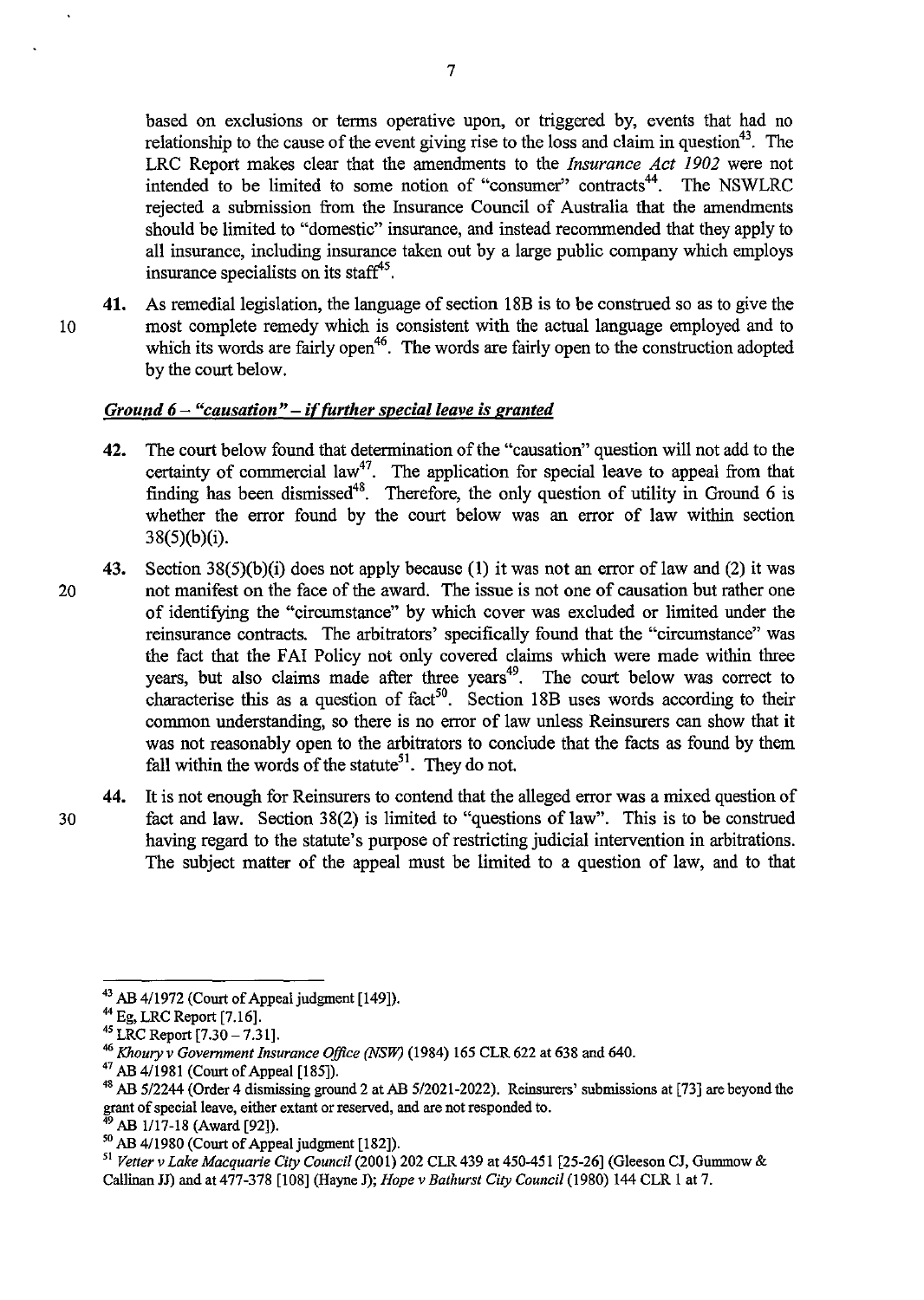based on exclusions or tenns operative upon, or triggered by, events that had no relationship to the cause of the event giving rise to the loss and claim in question<sup>43</sup>. The LRC Report makes clear that the amendments to the *Insurance Act 1902* were not intended to be limited to some notion of "consumer" contracts<sup>44</sup>. The NSWLRC rejected a submission from the Insurance Council of Australia that the amendments should be limited to "domestic" insurance, and instead recommended that they apply to all insurance, including insurance taken out by a large public company which employs insurance specialists on its staff<sup>45</sup>.

41. As remedial legislation, the language of section 18B is to be construed so as to give the 10 most complete remedy which is consistent with the actual language employed and to which its words are fairly open<sup>46</sup>. The words are fairly open to the construction adopted by the court below.

## *Ground* 6 - *"causation"* - *if further special leave is granted*

- 42. The court below found that detennination of the "causation" question will not add to the certainty of commercial law<sup>47</sup>. The application for special leave to appeal from that finding has been dismissed<sup>48</sup>. Therefore, the only question of utility in Ground 6 is whether the error found by the court below was an error of law within section 38(5)(b)(i).
- 43. Section 38(5)(b)(i) does not apply because (1) it was not an error of law and (2) it was 20 not manifest on the face of the award. The issue is not one of causation but rather one of identifying the "circumstance" by which cover was excluded or limited under the reinsurance contracts. The arbitrators' specifically found that the "circumstance" was the fact that the FAI Policy not only covered claims which were made within three years, but also claims made after three years<sup>49</sup>. The court below was correct to characterise this as a question of  $fact<sup>50</sup>$ . Section 18B uses words according to their common understanding, so there is no error of law unless Reinsurers can show that it was not reasonably open to the arbitrators to conclude that the facts as found by them fall within the words of the statute<sup>51</sup>. They do not.
- 44. It is not enough for Reinsurers to contend that the alleged error was a mixed question of 30 fact and law. Section 38(2) is limited to "questions of law". This is to be construed having regard to the statute's purpose of restricting judicial intervention in arbitrations. The subject matter of the appeal must be limited to a question of law, and to that

<sup>&</sup>lt;sup>43</sup> AB 4/1972 (Court of Appeal judgment [149]).

<sup>44</sup> Eg, LRC Report [7.16].

<sup>45</sup> LRC Report [7.30 -7.31].

<sup>46</sup>*Khoury* v *Government Insurance Office (NSW)* (1984) 165 CLR 622 at 638 and 640.

<sup>47</sup> AB 4/1981 (Court of Appeal [185]).

<sup>48</sup> AB 512244 (Order 4 dismissing ground 2 at AB 5/2021-2022). Reinsurers' submissions at [73] are beyond the grant of special leave, either extant or reserved, and are not responded to.

AB 1/17-18 (Award [92]).

<sup>50</sup> AB 4/1980 (Court of Appeal judgment [182]).

<sup>51</sup>*Vetler* v *Lake Macquarie City Council* (2001) 202 CLR 439 at 450-451 [25-26] (Gleeson CJ, Gummow & Callinan JJ) and at 477-378 [108] (Hayne J); *Hope* v *Bathurst City Council* (1980) 144 CLR 1 at 7.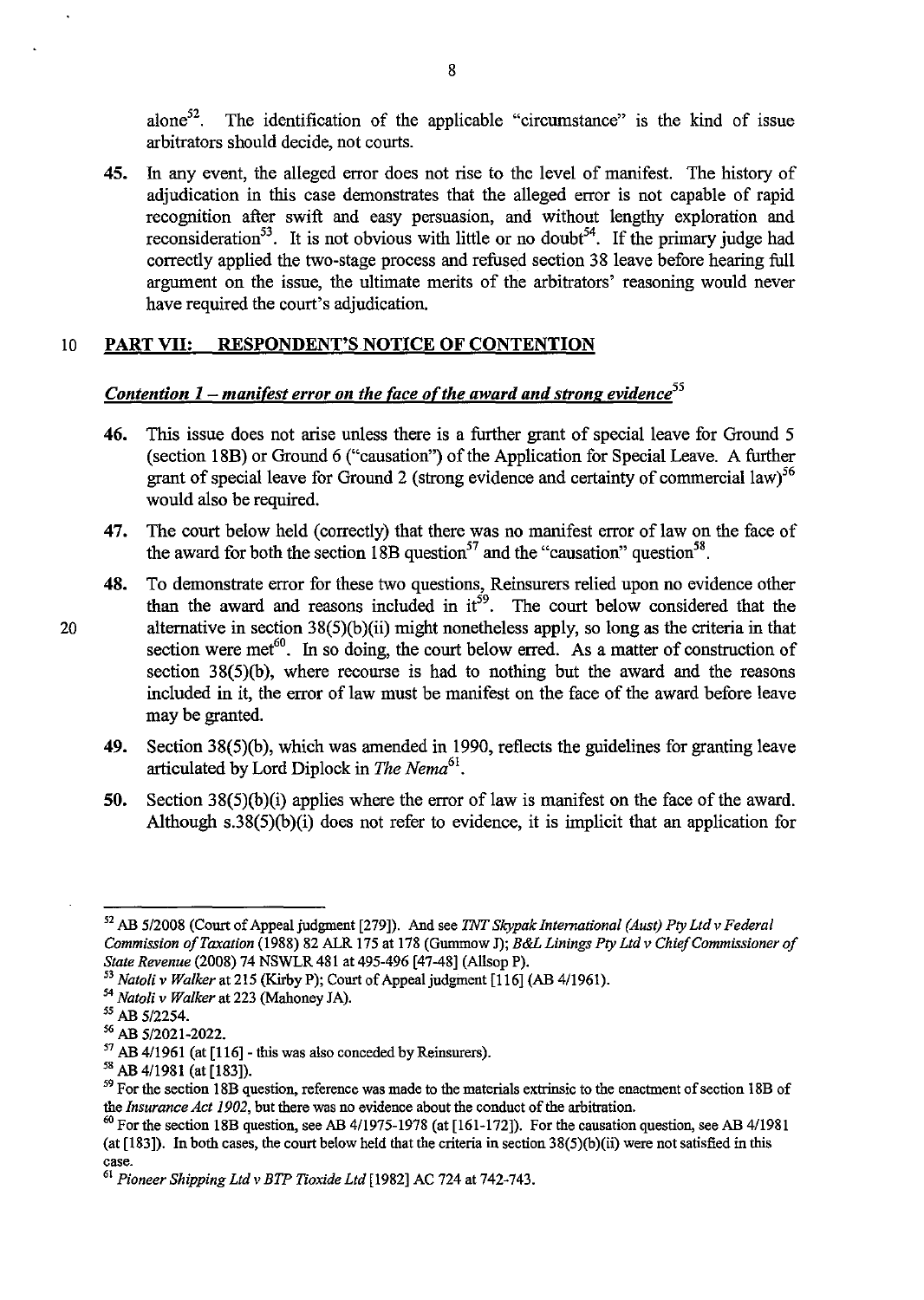alone<sup>52</sup>. The identification of the applicable "circumstance" is the kind of issue arbitrators should decide, not courts.

45. In any event, the alleged error does not rise to the level of manifest. The history of adjudication in this case demonstrates that the alleged error is not capable of rapid recognition after swift and easy persuasion, and without lengthy exploration and reconsideration<sup>53</sup>. It is not obvious with little or no doubt<sup>54</sup>. If the primary judge had correctly applied the two-stage process and refused section 38 leave before hearing full argument on the issue, the ultimate merits of the arbitrators' reasoning would never have required the court's adjudication.

#### 10 PART VII: RESPONDENT'S NOTICE OF CONTENTION

## *Contention 1 – manifest error on the face of the award and strong evidence*<sup>55</sup>

- 46. This issue does not arise unless there is a further grant of special leave for Ground 5 (section l8B) or Ground 6 ("causation") of the Application for Special Leave. A further grant of special leave for Ground 2 (strong evidence and certainty of commercial law)<sup>56</sup> would also be required.
- 47. The court below held (correctly) that there was no manifest error of law on the face of the award for both the section 18B question<sup>57</sup> and the "causation" question<sup>58</sup>.
- 48. To demonstrate error for these two questions, Reinsurers relied upon no evidence other than the award and reasons included in  $it^{59}$ . The court below considered that the 20 alternative in section 38(5)(b)(ii) might nonetheless apply, so long as the criteria in that section were met<sup>60</sup>. In so doing, the court below erred. As a matter of construction of section 38(5)(b), where recourse is had to nothing but the award and the reasons included in it, the error of law must be manifest on the face of the award before leave may be granted.
	- 49. Section 38(5)(b), which was amended in 1990, reflects the guidelines for granting leave articulated by Lord Diplock in *The Nema*<sup>61</sup>.
	- 50. Section 38(5)(b)(i) applies where the error of law is manifest on the face of the award. Although s.38(5)(b)(i) does not refer to evidence, it is implicit that an application for

<sup>52</sup> AB 5/2008 (Court of Appeal judgment [279]). And see TNT *Skypak International (Aust) Ply Ltd* v *Federal Commission o/Taxation* (1988) 82 ALR 175 at 178 (Gummow J); *B&L Linings Ply Ltd* v *Chie/Commissioner 0/ State Revenue* (2008) 74 NSWLR 481 at 495-496 [47-48] (Allsop P).

*<sup>53</sup> Natoli* v *Walker* at 215 (Kirby P); Court of Appeal judgment [116] (AB 4/1961).

*<sup>54</sup> Natoli* v *Walker* at 223 (Mahoney *lA).* 

<sup>55</sup> AB 5/2254.

<sup>56</sup> AB 5/2021-2022.

 $57$  AB 4/1961 (at [116] - this was also conceded by Reinsurers).

<sup>58</sup> AB 4/1981 (at [IS3]).

<sup>&</sup>lt;sup>59</sup> For the section 18B question, reference was made to the materials extrinsic to the enactment of section 18B of the *Insurance Act 1902,* but there was no evidence about the conduct of the arbitration.

 $^{60}$  For the section 18B question, see AB 4/1975-1978 (at [161-172]). For the causation question, see AB 4/1981 (at [183]). In both cases, the court below held that the criteria in section 3S(5)(b)(ii) were not satisfied in this **case.** 

<sup>61</sup> *Pioneer Shipping Ltdv BTP Tioxide Ltd* [1982] AC 724 at 742-743.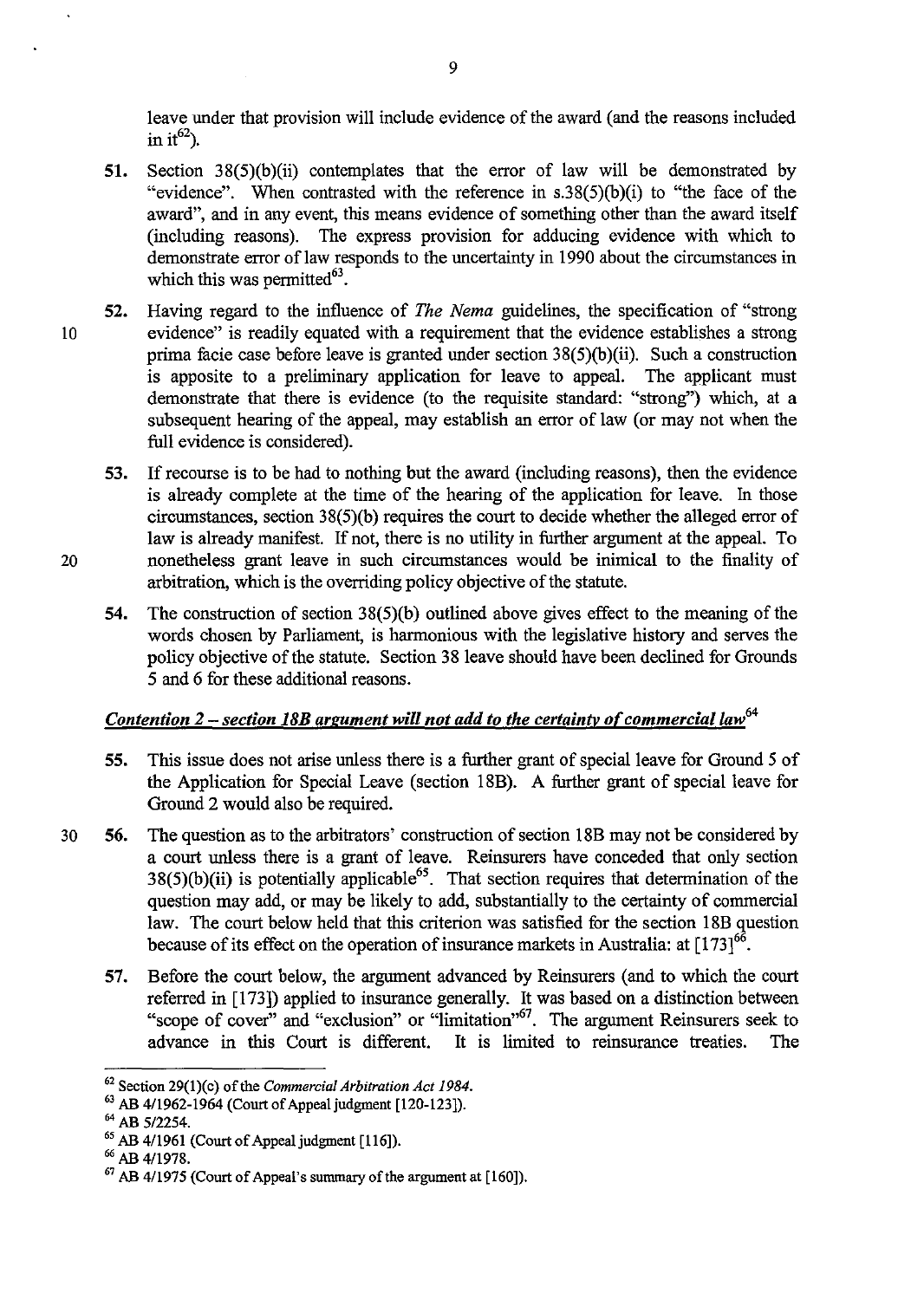leave under that provision will include evidence of the award (and the reasons included in it<sup>62</sup>).

- 51. Section 38(5)(b)(ii) contemplates that the error of law will be demonstrated by "evidence". When contrasted with the reference in  $s.38(5)(b)(i)$  to "the face of the award", and in any event, this means evidence of something other than the award itself (including reasons). The express provision for adducing evidence with which to demonstrate error of law responds to the uncertainty in 1990 about the circumstances in which this was permitted $^{63}$ .
- 52. Having regard to the influence of *The Nema* guidelines, the specification of "strong 10 evidence" is readily equated with a requirement that the evidence establishes a strong prima facie case before leave is granted under section 38(5)(b)(ii). Such a construction is apposite to a preliminary application for leave to appeal. The applicant must demonstrate that there is evidence (to the requisite standard: "strong") which, at a subsequent hearing of the appeal, may establish an error of law (or may not when the full evidence is considered).
- 53. If recourse is to be had to nothing but the award (including reasons), then the evidence is already complete at the time of the hearing of the application for leave. In those circumstances, section 38(5)(b) requires the court to decide whether the alleged error of law is already manifest. If not, there is no utility in further argument at the appeal. To 20 nonetheless grant leave in such circumstances would be inimical to the finality of arbitration, which is the overriding policy objective of the statute.
	- 54. The construction of section 38(5)(b) outlined above gives effect to the meaning of the words chosen by Parliament, is harmonious with the legislative history and serves the policy objective of the statute. Section 38 leave should have been declined for Grounds 5 and 6 for these additional reasons.

#### *Contention 2 – section 18B argument will not add to the certainty of commercial law*<sup>64</sup>

- 55. This issue does not arise unless there is a further grant of special leave for Ground 5 of the Application for Special Leave (section 18B). A further grant of special leave for Ground 2 would also be required.
- 30 56. The question as to the arbitrators' construction of section l8B may not be considered by a court unless there is a grant of leave. Reinsurers have conceded that only section  $38(5)(b)(ii)$  is potentially applicable<sup>65</sup>. That section requires that determination of the question may add, or may be likely to add, substantially to the certainty of commercial law. The court below held that this criterion was satisfied for the section 18B question because of its effect on the operation of insurance markets in Australia: at  $[173]^{66}$ .
	- 57. Before the court below, the argument advanced by Reinsurers (and to which the court referred in [173]) applied to insurance generally. It was based on a distinction between "scope of cover" and "exclusion" or "limitation"<sup>67</sup>. The argument Reinsurers seek to advance in this Court is different. It is limited to reinsurance treaties. The

<sup>&</sup>lt;sup>62</sup> Section 29(1)(c) of the *Commercial Arbitration Act 1984*.

<sup>63</sup> AB 4/1962-1964 (Court of Appeal judgment [120-123]).

<sup>64</sup> AB 5/2254.

<sup>&</sup>lt;sup>65</sup> AB 4/1961 (Court of Appeal judgment [116]).

<sup>66</sup> AB 4/1978.

<sup>67</sup> AB 4/1975 (Court of Appeal's summary of the argument at [160]).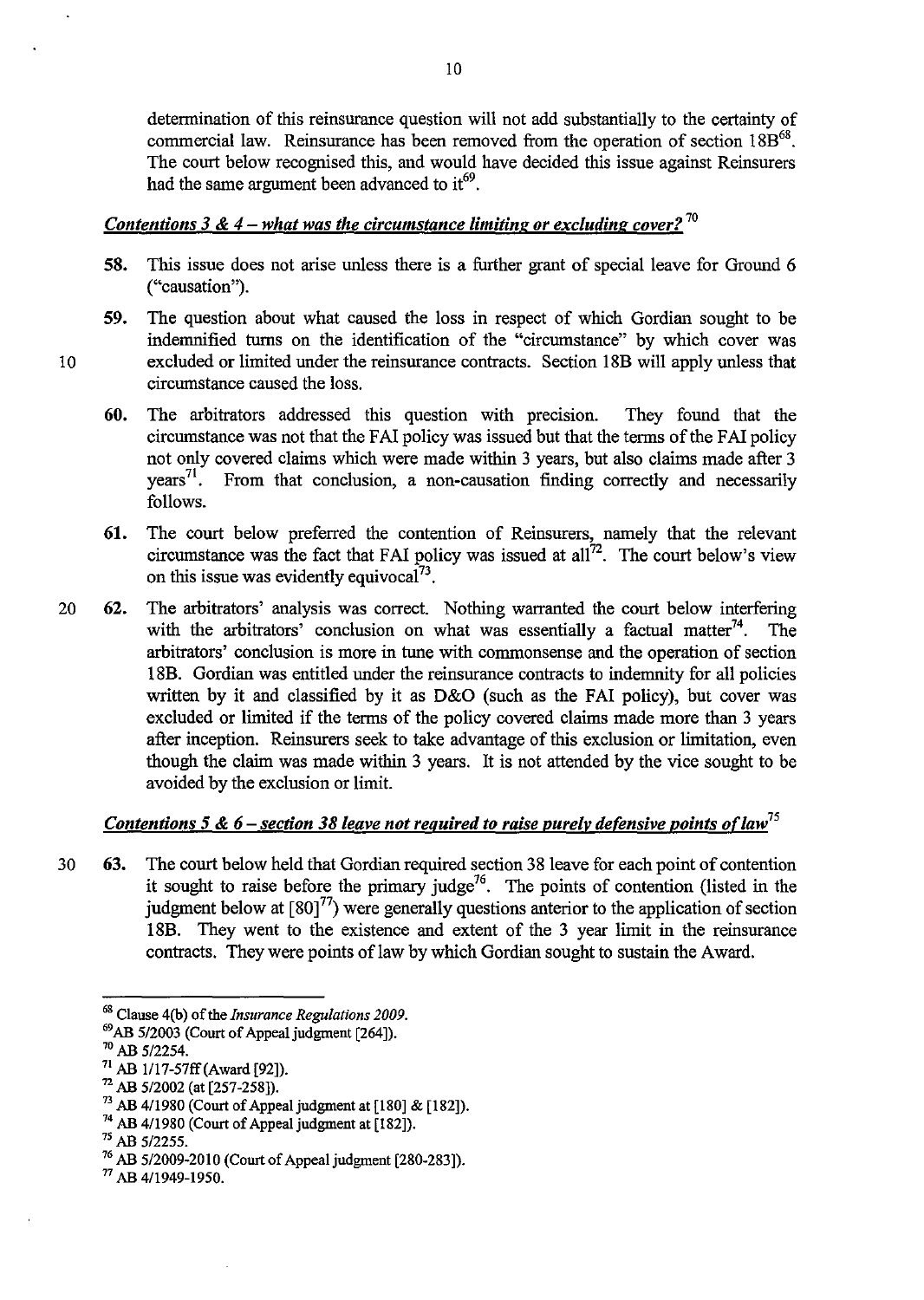detennination of this reinsurance question will not add substantially to the certainty of commercial law. Reinsurance has been removed from the operation of section  $18B^{68}$ . The court below recognised this, and would have decided this issue against Reinsurers had the same argument been advanced to  $it^{69}$ .

## *Contentions* 3 & 4 - *what was the circumstance limiting or excluding cover? 70*

- 58. This issue does not arise unless there is a further grant of special leave for Ground 6 ("causation").
- 59. The question about what caused the loss in respect of which Gordian sought to be indemnified turns on the identification of the "circumstance" by which cover was 10 excluded or limited under the reinsurance contracts. Section 18B will apply unless that circumstance caused the loss.
	- 60. The arbitrators addressed this question with precision. They found that the circumstance was not that the FAI policy was issued but that the terms of the FAI policy not only covered claims which were made within 3 years, but also claims made after 3 years<sup>71</sup>. From that conclusion, a non-causation finding correctly and necessarily From that conclusion, a non-causation finding correctly and necessarily follows.
	- 61. The court below preferred the contention of Reinsurers, namely that the relevant circumstance was the fact that FAI policy was issued at all<sup>72</sup>. The court below's view on this issue was evidently equivocal<sup>73</sup>.
- 20 62. The arbitrators' analysis was correct. Nothing warranted the court below interfering with the arbitrators' conclusion on what was essentially a factual matter<sup>74</sup>. The arbitrators' conclusion is more in tune with commonsense and the operation of section 18B. Gordian was entitled under the reinsurance contracts to indemnity for all policies written by it and classified by it as D&O (such as the FAI policy), but cover was excluded or limited if the tenns of the policy covered claims made more than 3 years after inception. Reinsurers seek to take advantage of this exclusion or limitation, even though the claim was made within 3 years. It is not attended by the vice sought to be avoided by the exclusion or limit.

## *Contentions* 5 & 6 - *section* 38 *leave not required to raise purely detensive points 0([aw75*

30 63. The court below held that Gordian required section 38 leave for each point of contention it sought to raise before the primary judge<sup>76</sup>. The points of contention (listed in the judgment below at  $\left[80\right]^{77}$ ) were generally questions anterior to the application of section 18B. They went to the existence and extent of the 3 year limit in the reinsurance contracts. They were points of law by which Gordian sought to sustain the Award.

os Clause 4(b) of the *Insurance Regulations 2009.* 

<sup>69</sup> AB 512003 (Court of Appeal judgment [264]).

<sup>70</sup> AB *5/2254.* 

<sup>71</sup> AB 1/17-57ff(Award [92]).

<sup>72</sup> AB *5/2002* (at [257-258]).

<sup>73</sup> AB *4/1980* (Court of Appeal judgment at [180] & [182]).

<sup>74</sup> AB 4/1980 (Court of Appeal judgment at [182]).

<sup>7</sup>S AB *512255.* 

<sup>76</sup> AB *5/2009-2010* (Court of Appeal judgment [280-283]).

<sup>77</sup> AB *4/1949-1950.*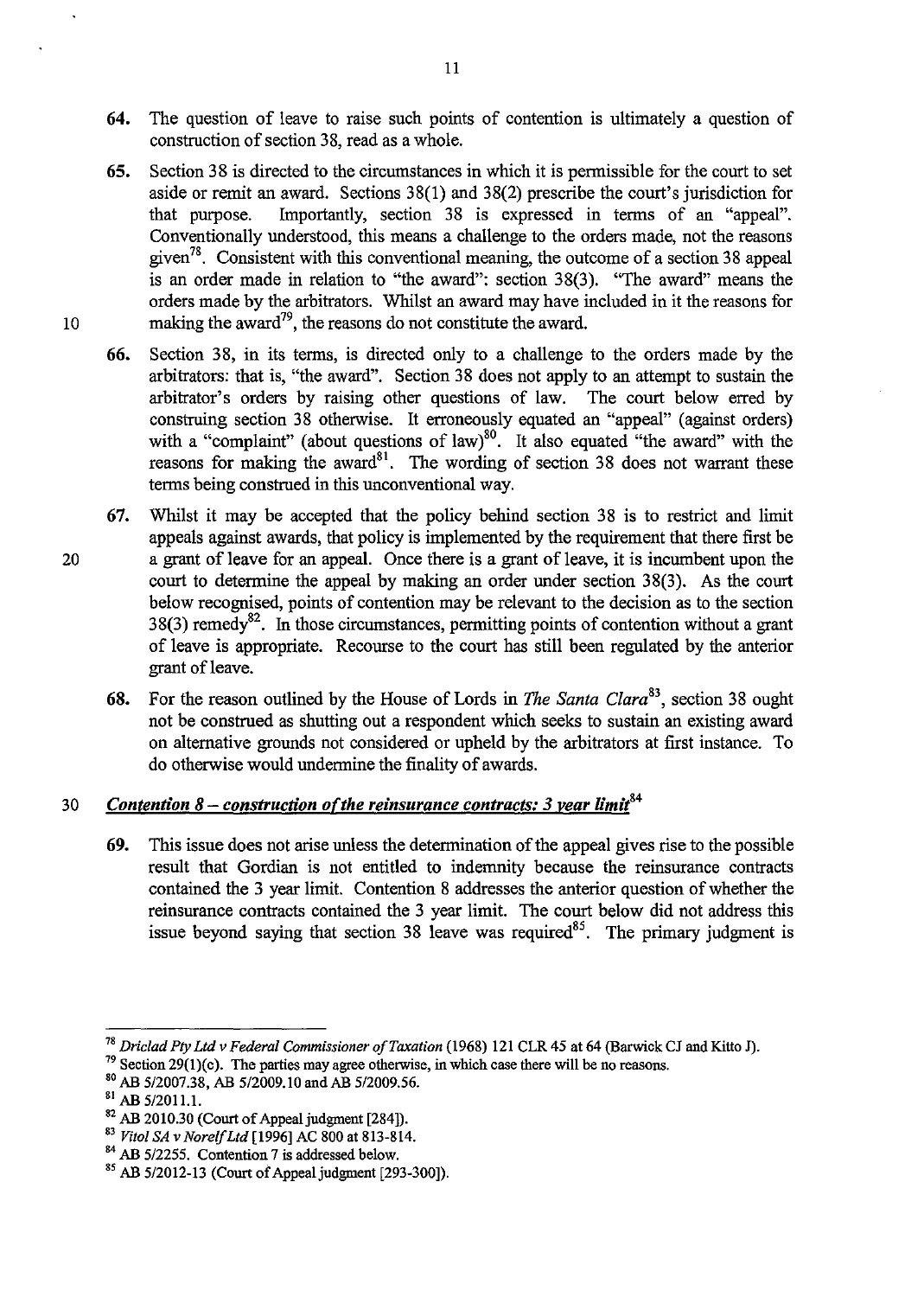- **64.** The question of leave to raise such points of contention is ultimately a question of construction of section 38, read as a whole.
- **65.** Section 38 is directed to the circumstances in which it is permissible for the court to set aside or remit an award. Sections 38(1) and 38(2) prescribe the court's jurisdiction for that purpose. Importantly, section 38 is expressed in terms of an "appeal". Conventionally understood, this means a challenge to the orders made, not the reasons given<sup>78</sup>. Consistent with this conventional meaning, the outcome of a section 38 appeal is an order made in relation to "the award": section 38(3). "The award" means the orders made by the arbitrators. Whilst an award may have included in it the reasons for 10 making the award<sup>79</sup>, the reasons do not constitute the award.
	- **66.** Section 38, in its terms, is directed only to a challenge to the orders made by the arbitrators: that is, "the award". Section 38 does not apply to an attempt to sustain the arbitrator's orders by raising other questions of law. The court below erred by construing section 38 otherwise. It erroneously equated an "appeal" (against orders) with a "complaint" (about questions of law)<sup>80</sup>. It also equated "the award" with the reasons for making the award<sup>81</sup>. The wording of section 38 does not warrant these terms being construed in this unconventional way.
- **67.** Whilst it may be accepted that the policy behind section 38 is to restrict and limit appeals against awards, that policy is implemented by the requirement that there first be 20 a grant of leave for an appeal. Once there is a grant of leave, it is incumbent upon the court to determine the appeal by making an order under section 38(3). As the court below recognised, points of contention may be relevant to the decision as to the section 38(3) remedy<sup>82</sup>. In those circumstances, permitting points of contention without a grant of leave is appropriate. Recourse to the court has still been regulated by the anterior grant of leave.
	- **68.** For the reason outlined by the House of Lords in *The Santa Clara*<sup>83</sup>, section 38 ought not be construed as shutting out a respondent which seeks to sustain an existing award on alternative grounds not considered or upheld by the arbitrators at first instance. To do otherwise would undermine the finality of awards.

# *30 Contention* **8 -** *construction o(the reinsurance contracts:* **3** *rear limii<sup>4</sup>*

**69.** This issue does not arise unless the determination of the appeal gives rise to the possible result that Gordian is not entitled to indemnity because the reinsurance contracts contained the 3 year limit. Contention 8 addresses the anterior question of whether the reinsurance contracts contained the 3 year limit. The court below did not address this issue beyond saying that section 38 leave was required<sup>85</sup>. The primary judgment is

<sup>78</sup>*Driclad Ply Lld* v *Federal Commissioner of Taxation* (1968) 121 CLR 45 at 64 (Barwick CJ and Kitto J).

 $79$  Section 29(1)(c). The parties may agree otherwise, in which case there will be no reasons.

<sup>80</sup> AB *5/2007.38,* AB *5/2009.10* and AB *5/2009.56.* 

SI AB *5/2011.1.* 

<sup>&</sup>lt;sup>82</sup> AB 2010.30 (Court of Appeal judgment [284]).

*<sup>83</sup> Vilol SA* v *NorelfLld* [1996] AC 800 at 813-814.

<sup>&</sup>lt;sup>84</sup> AB 5/2255. Contention 7 is addressed below.

<sup>&</sup>lt;sup>85</sup> AB 5/2012-13 (Court of Appeal judgment [293-300]).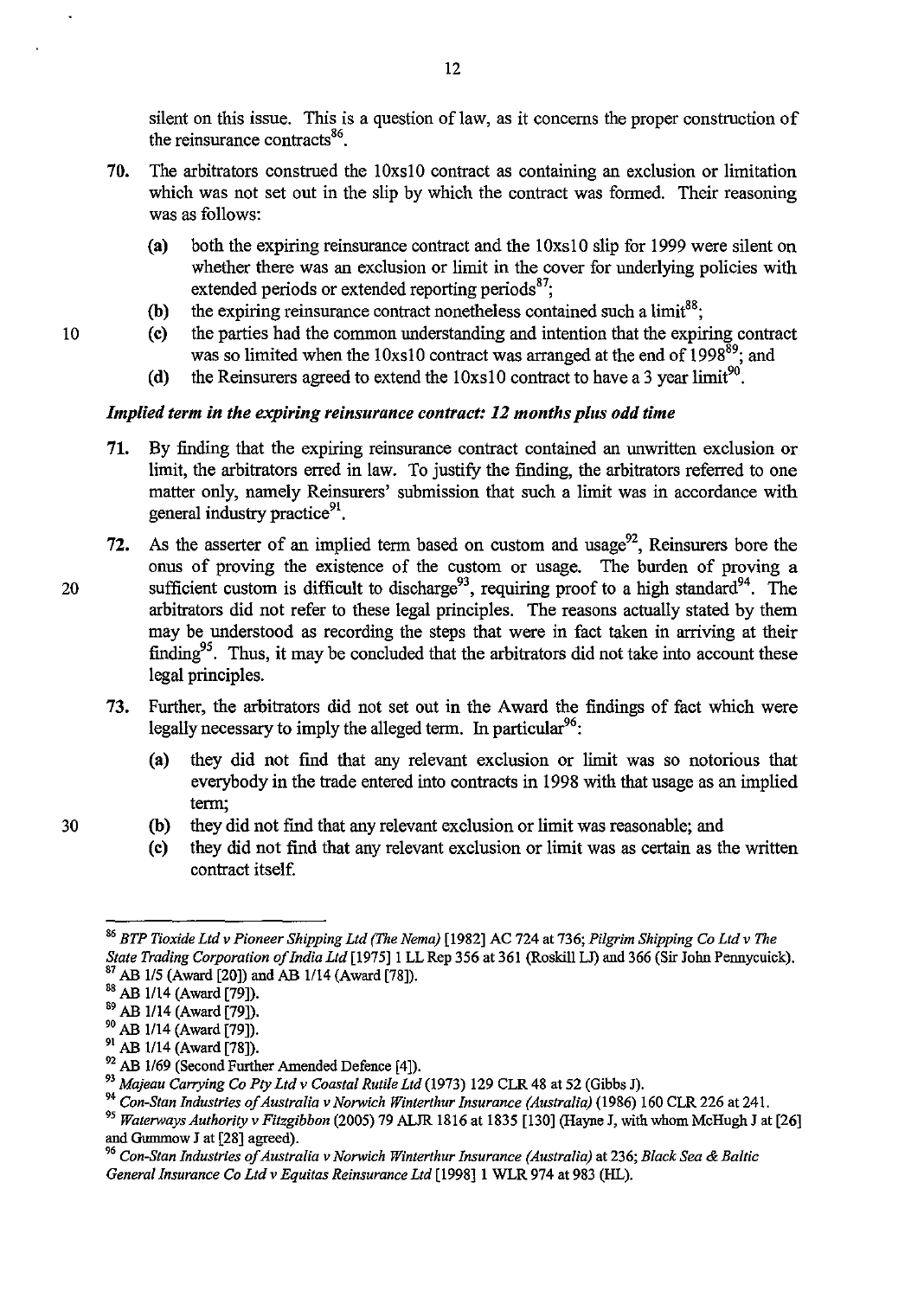silent on this issue. This is a question of law, as it concerns the proper construction of the reinsurance contracts $86$ .

- 70. The arbitrators construed the 10xslO contract as containing an exclusion or limitation which was not set out in the slip by which the contract was formed. Their reasoning was as follows:
	- (a) both the expiring reinsurance contract and the 10xslO slip for 1999 were silent on whether there was an exclusion or limit in the cover for underlying policies with extended periods or extended reporting periods<sup>87</sup>;
	- (b) the expiring reinsurance contract nonetheless contained such a limit<sup>88</sup>;
- 10 (c) the parties had the common understanding and intention that the expiring contract was so limited when the 10xs10 contract was arranged at the end of 1998<sup>89</sup>; and
	- (d) the Reinsurers agreed to extend the  $10xs10$  contract to have a 3 year limit<sup>90</sup>.

#### *Implied term in the expiring reinsurance contract:* 12 *months plus odd time*

- 71. By finding that the expiring reinsurance contract contained an unwritten exclusion or limit, the arbitrators erred in law. To justify the finding, the arbitrators referred to one matter only, namely Reinsurers' submission that such a limit was in accordance with general industry practice<sup>91</sup>.
- 72. As the asserter of an implied term based on custom and usage<sup>92</sup>, Reinsurers bore the onus of proving the existence of the custom or usage. The burden of proving a 20 sufficient custom is difficult to discharge<sup>93</sup>, requiring proof to a high standard<sup>94</sup>. The arbitrators did not refer to these legal principles. The reasons actually stated by them may be understood as recording the steps that were in fact taken in arriving at their finding<sup>95</sup>. Thus, it may be concluded that the arbitrators did not take into account these legal principles.
	- 73. Further, the arbitrators did not set out in the Award the findings of fact which were legally necessary to imply the alleged term. In particular  $96$ :
		- (a) they did not find that any relevant exclusion or limit was so notorious that everybody in the trade entered into contracts in 1998 with that usage as an implied term;
- 30 (b) they did not find that any relevant exclusion or limit was reasonable; and
	- (c) they did not find that any relevant exclusion or limit was as certain as the written contract itself.

*<sup>86</sup> BTP Tioxide Ltd v Pioneer Shipping Ltd (The Nema)* [1982] AC 724 at 736; *Pilgrim Shipping Co Ltd v The State Trading Corporation of India Ltd* [1975]1 LL Rep 356 at 361 (Roskill LJ) and 366 (Sir John Pennycuick). 87 AB 115 (Award [20]) and AB 1/14 (Award [78]).

ss AB 1114 (Award [79]).

<sup>89</sup> AB 1114 (Award [79]).

<sup>&</sup>lt;sup>90</sup> AB 1/14 (Award [79]).

<sup>&</sup>lt;sup>91</sup> AB 1/14 (Award [78]).

<sup>&</sup>lt;sup>92</sup> AB 1/69 (Second Further Amended Defence [4]).

<sup>93</sup>*Majeau Carrying Co Pty Ltd v Coastal Rutile Ltd* (1973) 129 CLR 48 at 52 (Gibbs J).

<sup>&</sup>lt;sup>94</sup> Con-Stan Industries of Australia v Norwich Winterthur Insurance (Australia) (1986) 160 CLR 226 at 241.

<sup>&</sup>lt;sup>95</sup> Waterways Authority v Fitzgibbon (2005) 79 ALJR 1816 at 1835 [130] (Hayne J, with whom McHugh J at [26] and Gummow J at [28] agreed).

*<sup>96</sup> Con-Stan Industries of Australia v Norwich Winterthur Insurance (Australia)* at 236; *Black Sea* & *Baltic General Insurance Co Ltd v Equitas Reinsurance Ltd* [1998]1 WLR 974 at 983 (HL).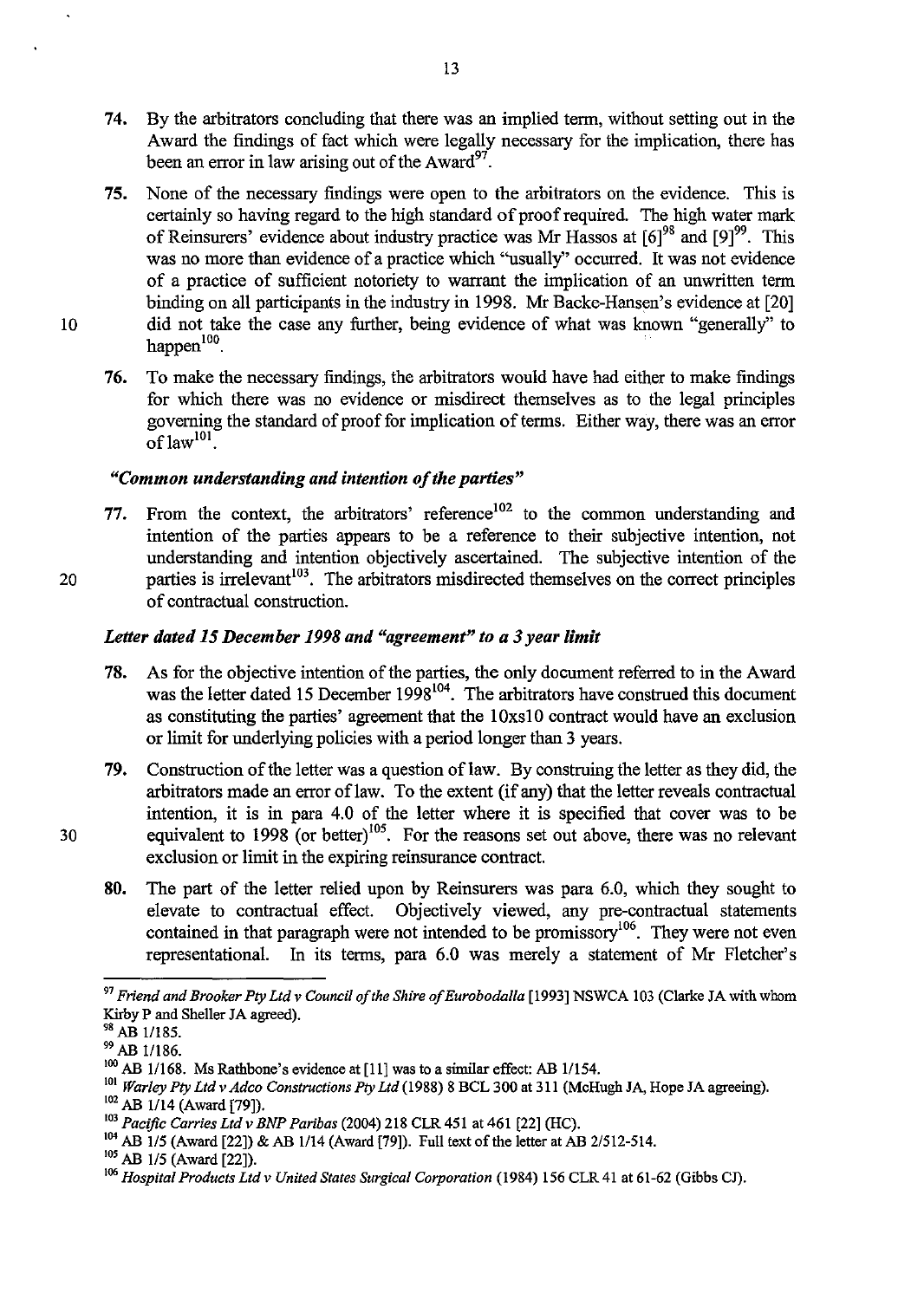- 74. By the arbitrators concluding that there was an implied term, without setting out in the Award the findings of fact which were legally necessary for the implication, there has been an error in law arising out of the Award $^{97}$ .
- 75. None of the necessary findings were open to the arbitrators on the evidence. This is certainly so having regard to the high standard of proof required. The high water mark of Reinsurers' evidence about industry practice was Mr Hassos at  $[6]^{98}$  and  $[9]^{99}$ . This was no more than evidence of a practice which "usually" occurred. It was not evidence of a practice of sufficient notoriety to warrant the implication of an unwritten term binding on all participants in the industry in 1998. Mr Backe-Hansen's evidence at [20] 10 did not take the case any further, being evidence of what was known "generally" to happen $100$ .
	- 76. To make the necessary findings, the arbitrators would have had either to make findings for which there was no evidence or misdirect themselves as to the legal principles goveming the standard of proof for implication of terms. Either way, there was an error  $\mathrm{o}$ f law<sup>101</sup>.

## *"Common understanding and intention of the parties"*

77. From the context, the arbitrators' reference<sup>102</sup> to the common understanding and intention of the parties appears to be a reference to their subjective intention, not understanding and intention objectively ascertained. The subjective intention of the 20 parties is irrelevant<sup>103</sup>. The arbitrators misdirected themselves on the correct principles of contractual construction.

#### *Letter dated* 15 *December* 1998 *and "agreement" to a* 3 *year limit*

- 78. As for the objective intention of the parties, the only document referred to in the Award was the letter dated 15 December 1998<sup>104</sup>. The arbitrators have construed this document as constituting the parties' agreement that the 1 Oxsl 0 contract would have an exclusion or limit for underlying policies with a period longer than 3 years.
- 79. Construction of the letter was a question of law. By construing the letter as they did, the arbitrators made an error of law. To the extent (if any) that the letter reveals contractual intention, it is in para 4.0 of the letter where it is specified that cover was to be 30 equivalent to  $1998$  (or better)<sup>105</sup>. For the reasons set out above, there was no relevant exclusion or limit in the expiring reinsurance contract.
	- 80. The part of the letter relied upon by Reinsurers was para 6.0, which they sought to elevate to contractual effect. Objectively viewed, any pre-contractual statements contained in that paragraph were not intended to be promissory<sup>106</sup>. They were not even representational. In its terms, para 6.0 was merely a statement of Mr Fletcher's

*<sup>97</sup> Friend and Brooker Pty Ltd* v *Council of the Shire ofEurobodalla* [1993] NSWCA 103 (Clarke JA with whom Kirby P and Sheller JA agreed).

<sup>98</sup> AB 1/185.

<sup>99</sup> AB 1/186.

 $100$  AB 1/168. Ms Rathbone's evidence at [11] was to a similar effect: AB 1/154.

<sup>101</sup>*Warley Pty Ltd* v *Adco Constructions Pty Ltd* (1988) 8 BCL 300 at 311 (McHugh JA, Hope JA agreeing).

<sup>&</sup>lt;sup>102</sup> AB 1/14 (Award [79]).

<sup>103</sup>*Pacific Carries Lld* v *BNP Paribas* (2004) 218 CLR 451 at 461 [22] (HC).

<sup>104</sup> AB 115 (Award [22]) & AB 1114 (Award [79]). Full text of the letter at AB 2/512-514.

<sup>&</sup>lt;sup>105</sup> AB 1/5 (Award [22]).

<sup>&</sup>lt;sup>106</sup> *Hospital Products Ltd v United States Surgical Corporation* (1984) 156 CLR 41 at 61-62 (Gibbs CJ).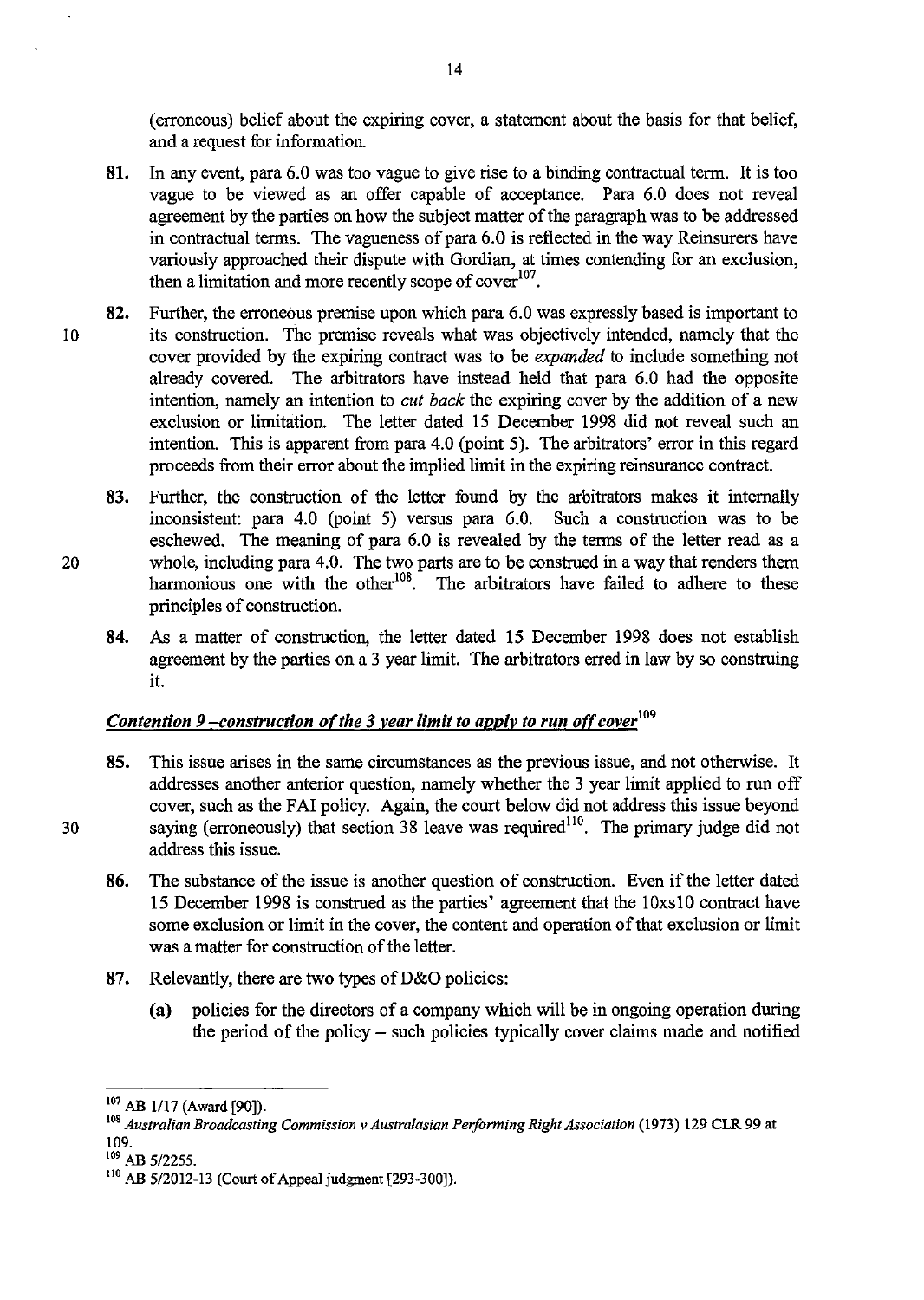(erroneous) belief about the expiring cover, a statement about the basis for that belief, and a request for information.

- 81. In any event, para 6.0 was too vague to give rise to a binding contractual term. It is too vague to be viewed as an offer capable of acceptance. Para 6.0 does not reveal agreement by the parties on how the subject matter of the paragraph was to be addressed in contractual terms. The vagueness of para 6.0 is reflected in the way Reinsurers have variously approached their dispute with Gordian, at times contending for an exclusion, then a limitation and more recently scope of cover<sup>107</sup>.
- 82. Further, the erroneous premise upon which para 6.0 was expressly based is important to 10 its construction. The premise reveals what was objectively intended, namely that the cover provided by the expiring contract was to be *expanded* to include something not already covered. The arbitrators have instead held that para 6.0 had the opposite intention, namely an intention to *cut back* the expiring cover by the addition of a new exclusion or limitation. The letter dated 15 December 1998 did not reveal such an intention. This is apparent from para 4.0 (point 5). The arbitrators' error in this regard proceeds from their error about the implied limit in the expiring reinsurance contract.
- 83. Further, the construction of the letter found by the arbitrators makes it internally inconsistent: para 4.0 (point 5) versus para 6.0. Such a construction was to be eschewed. The meaning of para 6.0 is revealed by the terms of the letter read as a 20 whole, including para 4.0. The two parts are to be construed in a way that renders them harmonious one with the other<sup>108</sup>. The arbitrators have failed to adhere to these principles of construction.
	- 84. As a matter of construction, the letter dated 15 December 1998 does not establish agreement by the parties on a 3 year limit. The arbitrators erred in law by so construing it.

## <u>Contention 9 -construction of the 3 year limit to apply to run off cover<sup>109</sup></u>

- 85. This issue arises in the same circumstances as the previous issue, and not otherwise. It addresses another anterior question, namely whether the 3 year limit applied to run off cover, such as the FAI policy. Again, the court below did not address this issue beyond 30 saying (erroneously) that section  $38$  leave was required<sup>110</sup>. The primary judge did not address this issue.
	- 86. The substance of the issue is another question of construction. Even if the letter dated 15 December 1998 is construed as the parties' agreement that the 10xsl0 contract have some exclusion or limit in the cover, the content and operation of that exclusion or limit was a matter for construction of the letter.
	- 87. Relevantly, there are two types of D&O policies:
		- (a) policies for the directors of a company which will be in ongoing operation during the period of the policy - such policies typically cover claims made and notified

 $109$  AB 5/2255.

<sup>&</sup>lt;sup>107</sup> AB 1/17 (Award [90]).

<sup>\08</sup> *Australian Broadcasting Commission* v *Australasian Performing Right Association* (1973) 129 CLR 99 at 109.

<sup>110</sup> AB *512012-13* (Court of Appeal judgment [293-300]).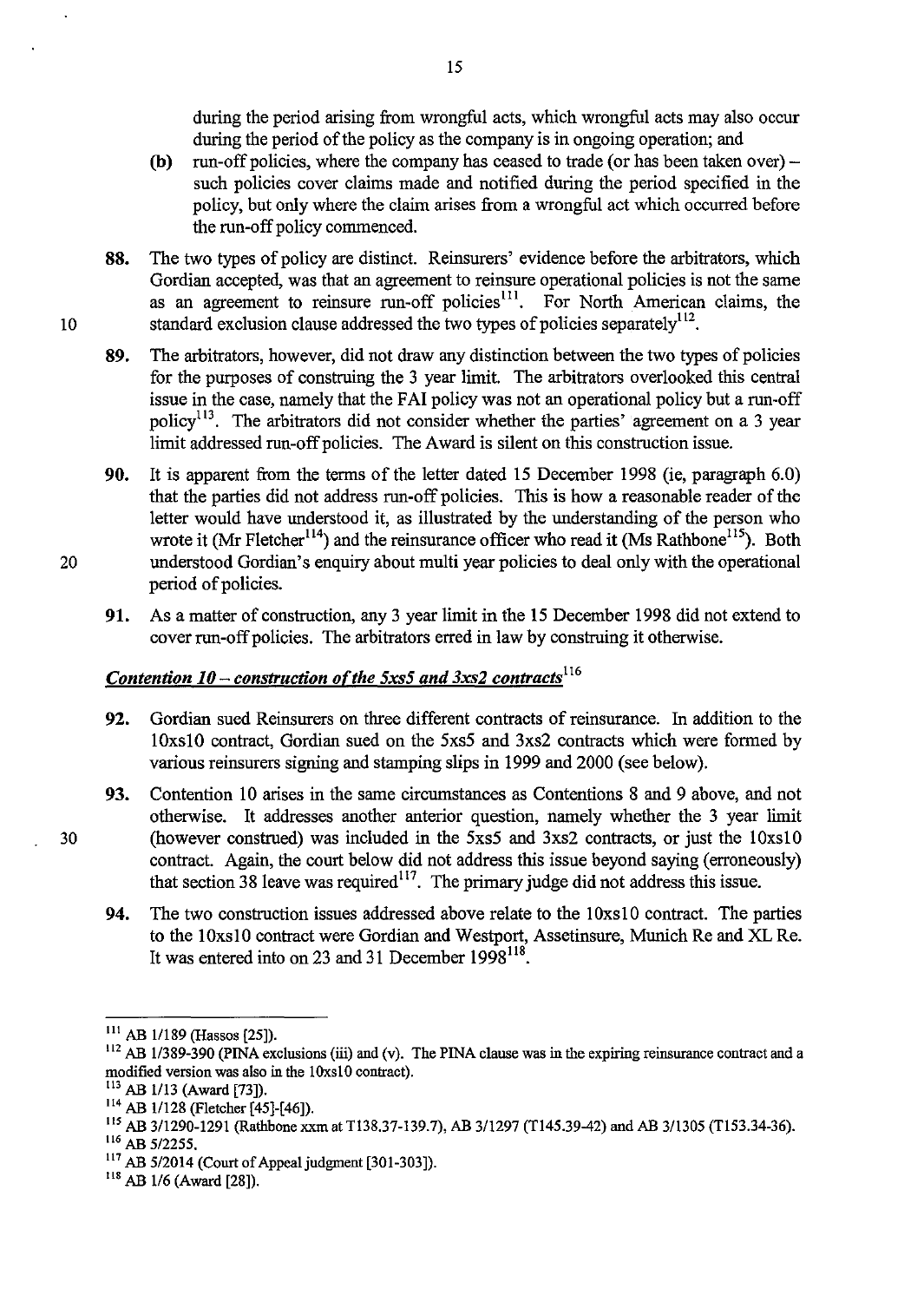during the period arising from wrongful acts, which wrongful acts may also occur during the period of the policy as the company is in ongoing operation; and

- (b) run-off policies, where the company has ceased to trade (or has been taken over) such policies cover claims made and notified during the period specified in the policy, but only where the claim arises from a wrongful act which occurred before the run-off policy commenced.
- 88. The two types of policy are distinct. Reinsurers' evidence before the arbitrators, which Gordian accepted, was that an agreement to reinsure operational policies is not the same as an agreement to reinsure run-off policies<sup>111</sup>. For North American claims, the 10 standard exclusion clause addressed the two types of policies separately<sup>112</sup>.
	- 89. The arbitrators, however, did not draw any distinction between the two types of policies for the purposes of construing the 3 year limit. The arbitrators overlooked this central issue in the case, namely that the FAI policy was not an operational policy but a run-off policy<sup>113</sup>. The arbitrators did not consider whether the parties' agreement on a 3 year limit addressed run-off policies. The Award is silent on this construction issue.
- 90. It is apparent from the terms of the letter dated 15 December 1998 (ie, paragraph 6.0) that the parties did not address run-off policies. This is how a reasonable reader of the letter would have understood it, as illustrated by the understanding of the person who wrote it (Mr Fletcher<sup>114</sup>) and the reinsurance officer who read it (Ms Rathbone<sup>115</sup>). Both 20 understood Gordian's enquiry about multi year policies to deal only with the operational period of policies.
	- 91. As a matter of construction, any 3 year limit in the 15 December 1998 did not extend to cover run-off policies. The arbitrators erred in law by construing it otherwise.

# *Contention 10 – construction of the 5xs5 and 3xs2 contracts*<sup>116</sup>

- 92. Gordian sued Reinsurers on three different contracts of reinsurance. In addition to the 10xsl0 contract, Gordian sued on the 5xs5 and 3xs2 contracts which were formed by various reinsurers signing and stamping slips in 1999 and 2000 (see below).
- 93. Contention 10 arises in the same circumstances as Contentions 8 and 9 above, and not otherwise. It addresses another anterior question, namely whether the 3 year limit 30 (however construed) was included in the 5xs5 and 3xs2 contracts, or just the 10xs10 contract. Again, the court below did not address this issue beyond saying (erroneously) that section 38 leave was required<sup>117</sup>. The primary judge did not address this issue.
	- 94. The two construction issues addressed above relate to the 10xs10 contract. The parties to the 10xsl0 contract were Gordian and Westport, Assetinsure, Munich Re and XL Re. It was entered into on 23 and 31 December  $1998^{118}$ .

III AB 11189 (Hassos [25]).

<sup>&</sup>lt;sup>112</sup> AB 1/389-390 (PINA exclusions (iii) and (v). The PINA clause was in the expiring reinsurance contract and a modified version was also in the IOxsl0 contract).

<sup>&</sup>lt;sup>113</sup> AB 1/13 (Award [73]).

<sup>114</sup> AB 11128 (Fletcher [45]-[46]).

liS AB 3/1290-1291 (Rathbone xxm at T138.37-139.7), AB 311297 (T145.39-42) and AB 3/1305 (T153.34-36). 116 AB 5/2255.

 $117$  AB 5/2014 (Court of Appeal judgment [301-303]).

 $118$  AB 1/6 (Award [28]).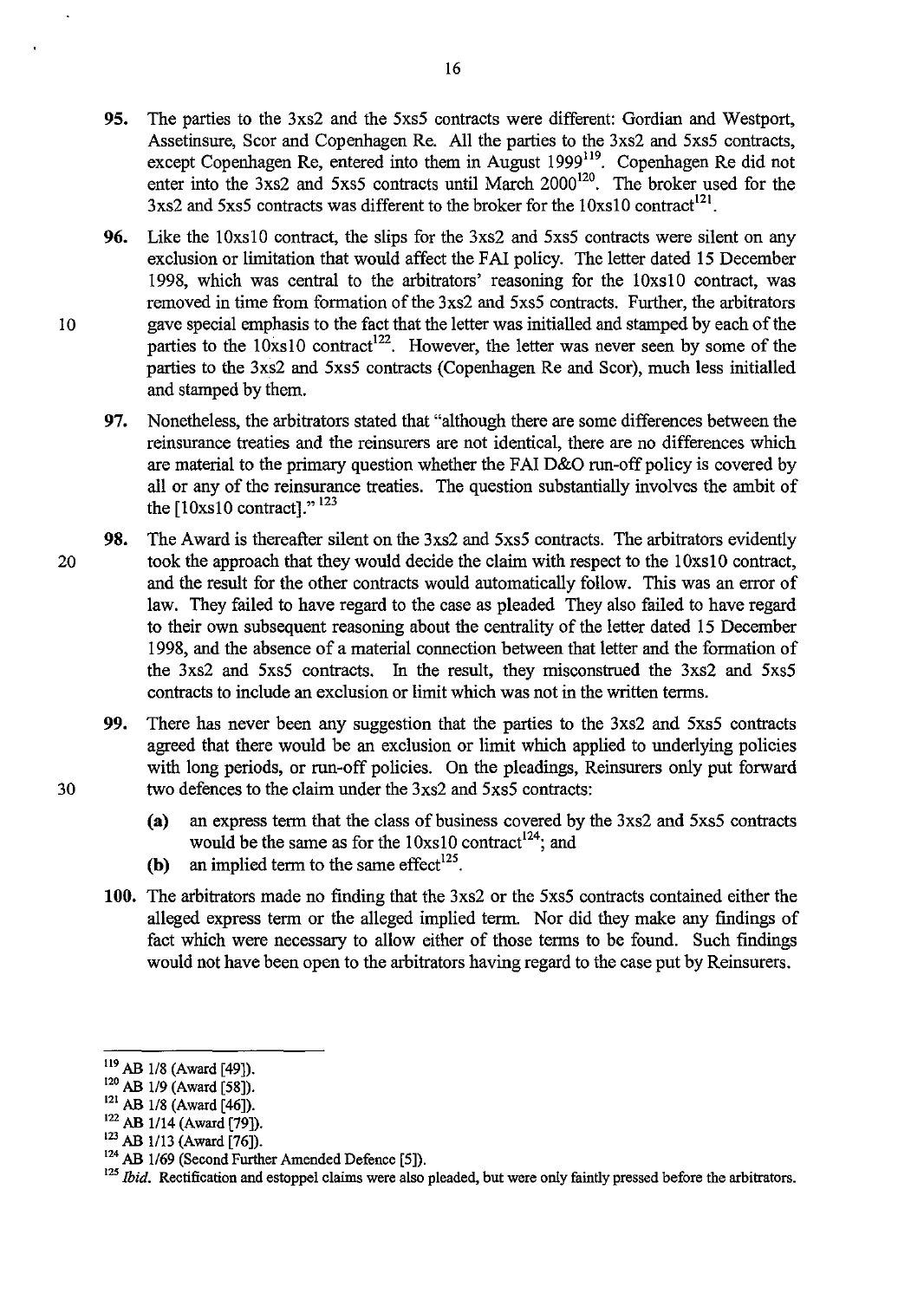- **95.** The parties to the 3xs2 and the 5xs5 contracts were different: Gordian and Westport, Assetinsure, Scor and Copenhagen Re. All the parties to the 3xs2 and 5xs5 contracts, except Copenhagen Re, entered into them in August 1999<sup>119</sup>. Copenhagen Re did not enter into the  $3xs2$  and  $5xs5$  contracts until March  $2000^{120}$ . The broker used for the  $3x<sub>s2</sub>$  and  $5x<sub>s5</sub>$  contracts was different to the broker for the  $10x<sub>s10</sub>$  contract<sup>121</sup>.
- **96.** Like the 10xs10 contract, the slips for the 3xs2 and 5xs5 contracts were silent on any exclusion or limitation that would affect the FAI policy. The letter dated 15 December 1998, which was central to the arbitrators' reasoning for the 10xsl0 contract, was removed in time from formation of the 3xs2 and 5xs5 contracts. Further, the arbitrators 10 gave special emphasis to the fact that the letter was initialled and stamped by each of the parties to the  $10xs10$  contract<sup>122</sup>. However, the letter was never seen by some of the parties to the 3xs2 and 5xs5 contracts (Copenhagen Re and Scor), much less initialled and stamped by them.
	- **97.** Nonetheless, the arbitrators stated that "although there are some differences between the reinsurance treaties and the reinsurers are not identical, there are no differences which are material to the primary question whether the FAI D&O run-off policy is covered by all or any of the reinsurance treaties. The question substantially involves the ambit of the [10xs10 contract]."<sup>123</sup>
- **98.** The Award is thereafter silent on the 3xs2 and 5xs5 contracts. The arbitrators evidently 20 took the approach that they would decide the claim with respect to the 10xs10 contract, and the result for the other contracts would automatically follow. This was an error of law. They failed to have regard to the case as pleaded They also failed to have regard to their own subsequent reasoning about the centrality of the letter dated 15 December 1998, and the absence of a material connection between that letter and the formation of the 3xs2 and 5xs5 contracts. In the result, they misconstrued the 3xs2 and 5xs5 contracts to include an exclusion or limit which was not in the written terms.
- **99.** There has never been any suggestion that the parties to the 3xs2 and 5xs5 contracts agreed that there would be an exclusion or limit which applied to underlying policies with long periods, or run-off policies. On the pleadings, Reinsurers only put forward 30 two defences to the claim under the 3xs2 and 5xs5 contracts:
	- **(a)** an express term that the class of business covered by the 3xs2 and 5xs5 contracts would be the same as for the  $10xs10$  contract<sup>124</sup>; and
	- **(b)** an implied term to the same effect<sup>125</sup>.
	- **100.** The arbitrators made no finding that the 3xs2 or the 5xs5 contracts contained either the alleged express term or the alleged implied term. Nor did they make any findings of fact which were necessary to allow either of those terms to be found. Such findings would not have been open to the arbitrators having regard to the case put by Reinsurers.

<sup>119</sup>AB *118* (Award [49]).

<sup>120</sup> AB *119* (Award [58]).

<sup>121</sup> AB *118* (Award [46]).

<sup>122</sup> AB *1114* (Award [79]).

<sup>123</sup> AB *1113* (Award [76]).

<sup>&</sup>lt;sup>124</sup> AB 1/69 (Second Further Amended Defence [5]).

<sup>&</sup>lt;sup>125</sup> *Ibid.* Rectification and estoppel claims were also pleaded, but were only faintly pressed before the arbitrators.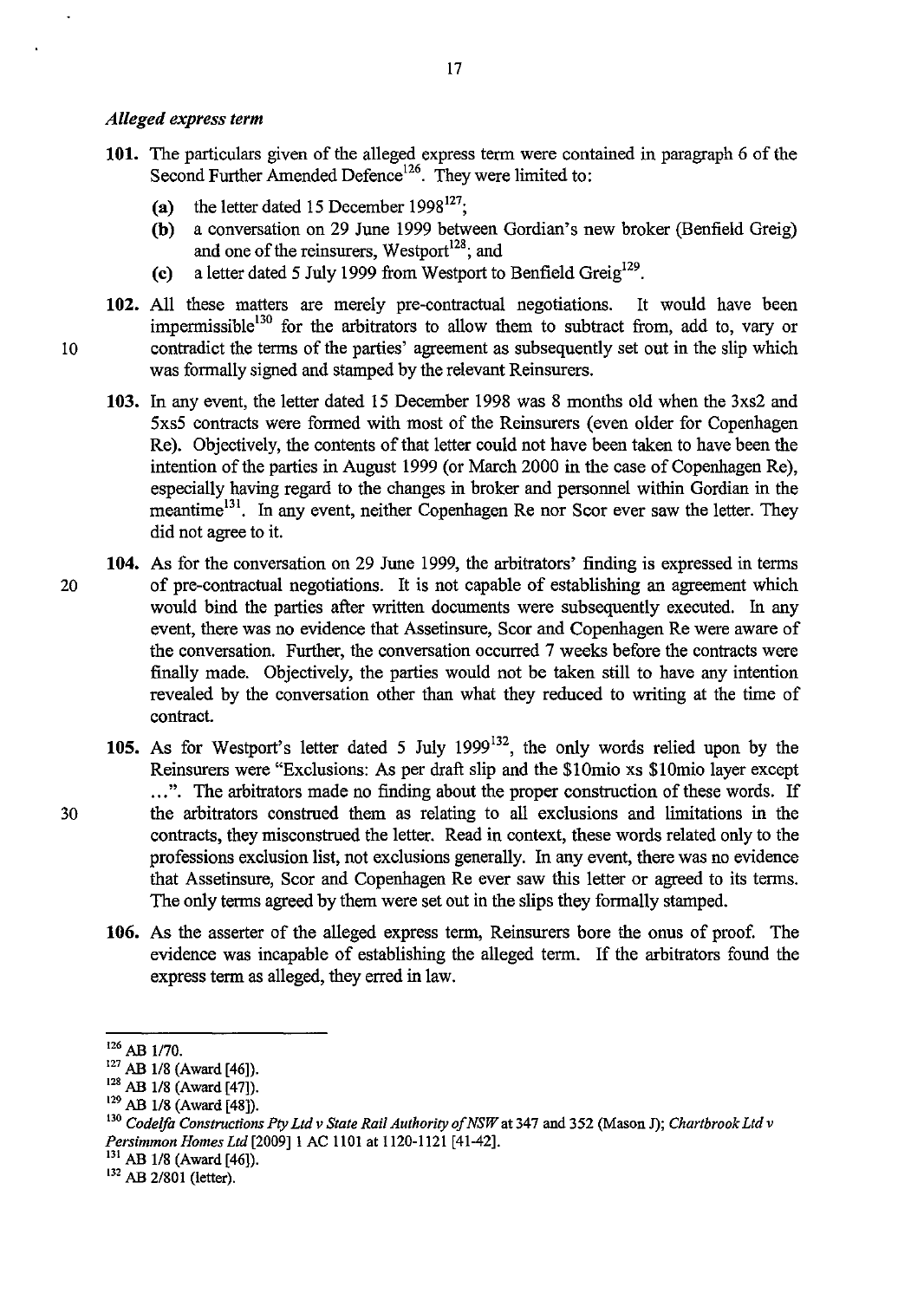#### *Alleged express term*

- 101. The particulars given of the alleged express term were contained in paragraph 6 of the Second Further Amended Defence<sup>126</sup>. They were limited to:
	- (a) the letter dated 15 December 1998<sup>127</sup>;
	- (b) a conversation on 29 June 1999 between Gordian's new broker (Benfield Greig) and one of the reinsurers, Westport<sup>128</sup>; and
	- (c) a letter dated 5 July 1999 from Westport to Benfield Greig<sup>129</sup>.
- 102. All these matters are merely pre-contractual negotiations. It would have been impermissible $130$  for the arbitrators to allow them to subtract from, add to, vary or 10 contradict the terms of the parties' agreement as subsequently set out in the slip which was formally signed and stamped by the relevant Reinsurers.
	- 103. In any event, the letter dated 15 December 1998 was 8 months old when the 3xs2 and 5xs5 contracts were formed with most of the Reinsurers (even older for Copenhagen Re). Objectively, the contents of that letter could not have been taken to have been the intention of the parties in August 1999 (or March 2000 in the case of Copenhagen Re), especially having regard to the changes in broker and personnel within Gordian in the meantime<sup>131</sup>. In any event, neither Copenhagen Re nor Scor ever saw the letter. They did not agree to it.
- 104. As for the conversation on 29 June 1999, the arbitrators' finding is expressed in terms 20 of pre-contractual negotiations. It is not capable of establishing an agreement which would bind the parties after written documents were subsequently executed. In any event, there was no evidence that Assetinsure, Scor and Copenhagen Re were aware of the conversation. Further, the conversation occurred 7 weeks before the contracts were finally made. Objectively, the parties would not be taken still to have any intention revealed by the conversation other than what they reduced to writing at the time of contract.
- 105. As for Westport's letter dated 5 July 1999132, the only words relied upon by the Reinsurers were "Exclusions: As per draft slip and the \$10mio xs \$10mio layer except ...". The arbitrators made no finding about the proper construction of these words. If 30 the arbitrators construed them as relating to all exclusions and limitations in the contracts, they misconstrued the letter. Read in context, these words related only to the professions exclusion list, not exclusions generally. In any event, there was no evidence that Assetinsure, Scor and Copenhagen Re ever saw this letter or agreed to its terms. The only terms agreed by them were set out in the slips they formally stamped.
	- 106. As the asserter of the alleged express term, Reinsurers bore the onus of proof. The evidence was incapable of establishing the alleged term. If the arbitrators found the express term as alleged, they erred in law.

 $126$  AB 1/70.

<sup>&</sup>lt;sup>127</sup> AB 1/8 (Award [46]).

<sup>&</sup>lt;sup>128</sup> AB 1/8 (Award [47]).

<sup>&</sup>lt;sup>129</sup> AB 1/8 (Award [48]).

<sup>130</sup>*Codelfa Constructions Pty Ltd v State Rail Authority of NSW* at 347 and 352 (Mason J); *Chartbrook Ltd v Persimmon Homes Ltd* [2009]1 AC 1101 at 1120-1121 [41-42].

 $131$  AB 1/8 (Award [46]).

<sup>&</sup>lt;sup>132</sup> AB 2/801 (letter).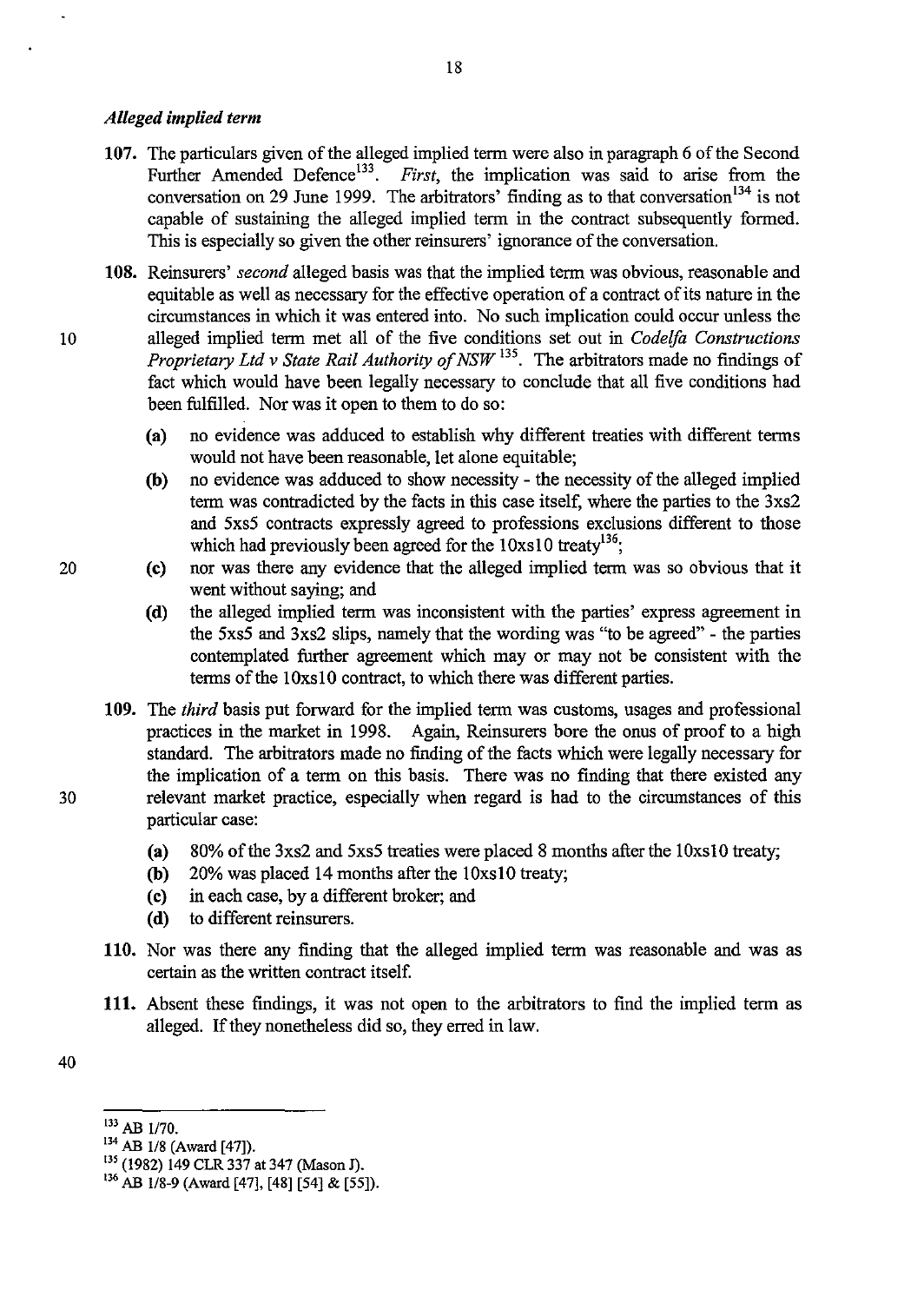#### *Alleged implied term*

- 107. The particulars given of the alleged implied tenn were also in paragraph 6 of the Second Further Amended Defence<sup>133</sup>. *First*, the implication was said to arise from the conversation on 29 June 1999. The arbitrators' finding as to that conversation  $134$  is not capable of sustaining the alleged implied term in the contract subsequently formed. This is especially so given the other reinsurers' ignorance of the conversation.
- 108. Reinsurers' *second* alleged basis was that the implied term was obvious, reasonable and equitable as well as necessary for the effective operation of a contract of its nature in the circumstances in which it was entered into. No such implication could occur unless the 10 alleged implied term met all of the five conditions set out in *Codelfa Constructions Proprietary Ltd* v *State Rail Authority of NSW* 135. The arbitrators made no findings of fact which would have been legally necessary to conclude that all five conditions had been fulfilled. Nor was it open to them to do so:
	- (a) no evidence was adduced to establish why different treaties with different tenns would not have been reasonable, let alone equitable;
	- (b) no evidence was adduced to show necessity the necessity of the alleged implied tenn was contradicted by the facts in this case itself, where the parties to the 3xs2 and 5xs5 contracts expressly agreed to professions exclusions different to those which had previously been agreed for the  $10xs10$  treaty<sup>136</sup>;
- 20 (c) nor was there any evidence that the alleged implied term was so obvious that it went without saying; and
	- (d) the alleged implied term was inconsistent with the parties' express agreement in the 5xs5 and 3xs2 slips, namely that the wording was "to be agreed" - the parties contemplated further agreement which mayor may not be consistent with the terms of the 10xs10 contract, to which there was different parties.
- 109. The *third* basis put forward for the implied tenn was customs, usages and professional practices in the market in 1998. Again, Reinsurers bore the onus of proof to a high standard. The arbitrators made no finding of the facts which were legally necessary for the implication of a term on this basis. There was no finding that there existed any 30 relevant market practice, especially when regard is had to the circumstances of this particular case:
	- (a) 80% of the 3xs2 and 5xs5 treaties were placed 8 months after the IOxsl0 treaty;
	- (b)  $20\%$  was placed 14 months after the  $10x s 10$  treaty;
	- (c) in each case, by a different broker; and
	- (d) to different reinsurers.
	- 110. Nor was there any finding that the alleged implied term was reasonable and was as certain as the written contract itself.
	- **111.** Absent these findings, it was not open to the arbitrators to find the implied term as alleged. If they nonetheless did so, they erred in law.

40

 $^{133}$  AB 1/70.<br> $^{134}$  AB 1/8 (Award [47]).

<sup>&</sup>lt;sup>135</sup> (1982) 149 CLR 337 at 347 (Mason J).

<sup>&</sup>lt;sup>136</sup> AB 1/8-9 (Award [47], [48] [54] & [55]).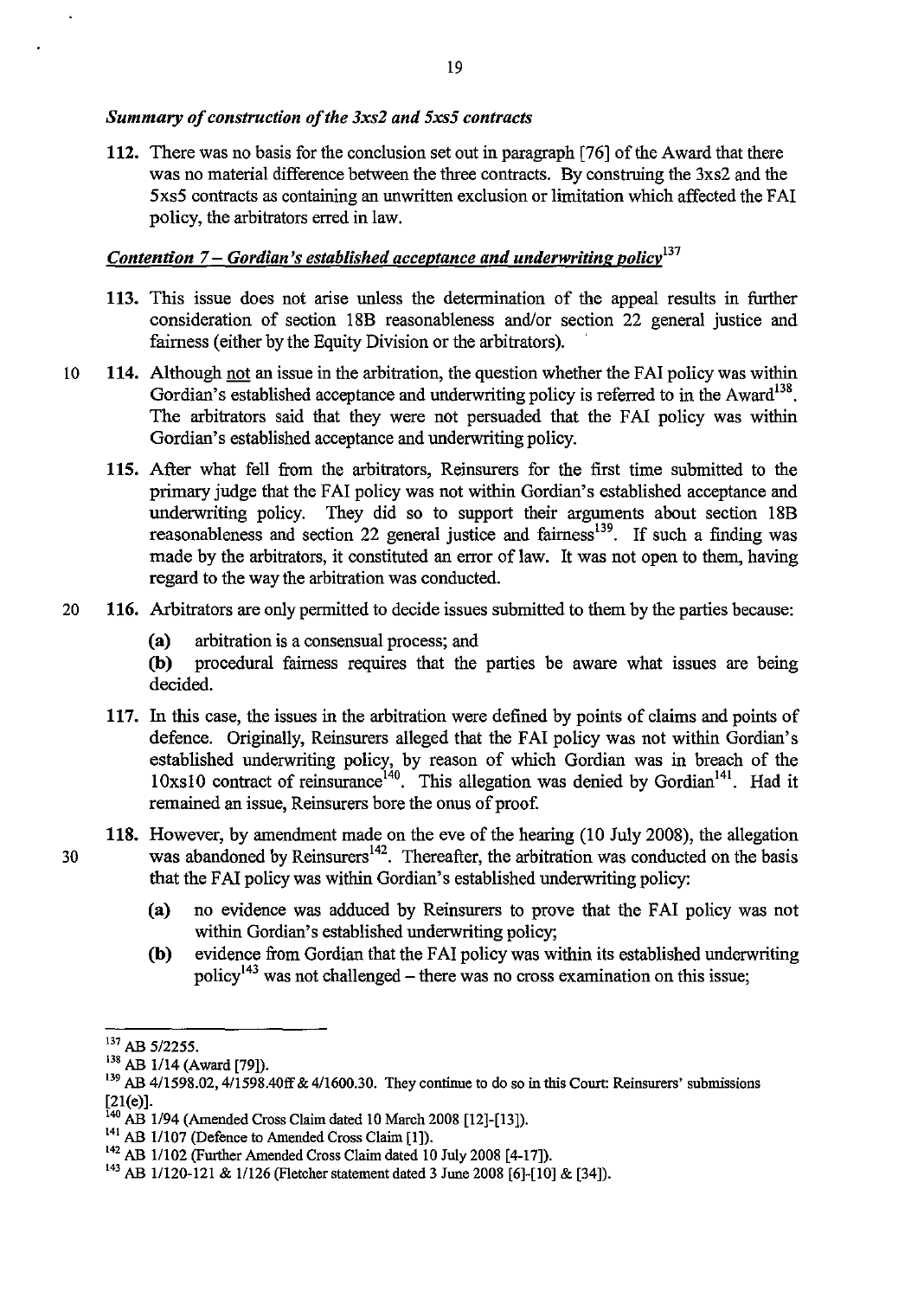#### *Summary of construction of the 3xs2 and 5xs5 contracts*

112. There was no basis for the conclusion set out in paragraph [76] of the Award that there was no material difference between the three contracts. By construing the 3xs2 and the 5xs5 contracts as containing an unwritten exclusion or limitation which affected the F AI policy, the arbitrators erred in law.

## *Contention 7 – Gordian's established acceptance and underwriting policy*<sup>137</sup>

- 113. This issue does not arise unless the detennination of the appeal results in further consideration of section 18B reasonableness and/or section 22 general justice and fairness (either by the Equity Division or the arbitrators).
- 10 114. Although not an issue in the arbitration, the question whether the FAI policy was within Gordian's established acceptance and underwriting policy is referred to in the Award<sup>138</sup>. The arbitrators said that they were not persuaded that the FAI policy was within Gordian's established acceptance and underwriting policy.
	- 115. After what fell from the arbitrators, Reinsurers for the first time submitted to the primary judge that the FAI policy was not within Gordian's established acceptance and underwriting policy. They did so to support their arguments about section 18B reasonableness and section 22 general justice and fairness<sup>139</sup>. If such a finding was made by the arbitrators, it constituted an error of law. It was not open to them, having regard to the way the arbitration was conducted.
- 20 116. Arbitrators are only permitted to decide issues submitted to them by the parties because:
	- (a) arbitration is a consensual process; and

(b) procedural fairness requires that the parties be aware what issues are being decided.

- 117. In this case, the issues in the arbitration were defined by points of claims and points of defence. Originally, Reinsurers alleged that the FAI policy was not within Gordian's established underwriting policy, by reason of which Gordian was in breach of the 10xs10 contract of reinsurance<sup>140</sup>. This allegation was denied by Gordian<sup>141</sup>. Had it remained an issue, Reinsurers bore the onus of proof
- 118. However, by amendment made on the eve of the hearing (10 July 2008), the allegation 30 was abandoned by Reinsurers<sup>142</sup>. Thereafter, the arbitration was conducted on the basis that the FAI policy was within Gordian's established underwriting policy:
	- (a) no evidence was adduced by Reinsurers to prove that the FAI policy was not within Gordian's established underwriting policy;
	- (b) evidence from Gordian that the FAI policy was within its established underwriting policy<sup>143</sup> was not challenged – there was no cross examination on this issue;

<sup>137</sup> AB *5/2255.* 

<sup>&</sup>lt;sup>138</sup> AB 1/14 (Award [79]).

<sup>&</sup>lt;sup>139</sup> AB 4/1598.02, 4/1598.40ff & 4/1600.30. They continue to do so in this Court: Reinsurers' submissions  $[21(e)].$ 

 $140$  AB 1/94 (Amended Cross Claim dated 10 March 2008 [12]-[13]).

<sup>&</sup>lt;sup>141</sup> AB 1/107 (Defence to Amended Cross Claim [1]).

<sup>&</sup>lt;sup>142</sup> AB 1/102 (Further Amended Cross Claim dated 10 July 2008 [4-17]).

<sup>143</sup> AB 11120-121 & 1/126 (Fletcher statement dated 3 June 2008 [6]-[10] & [34]).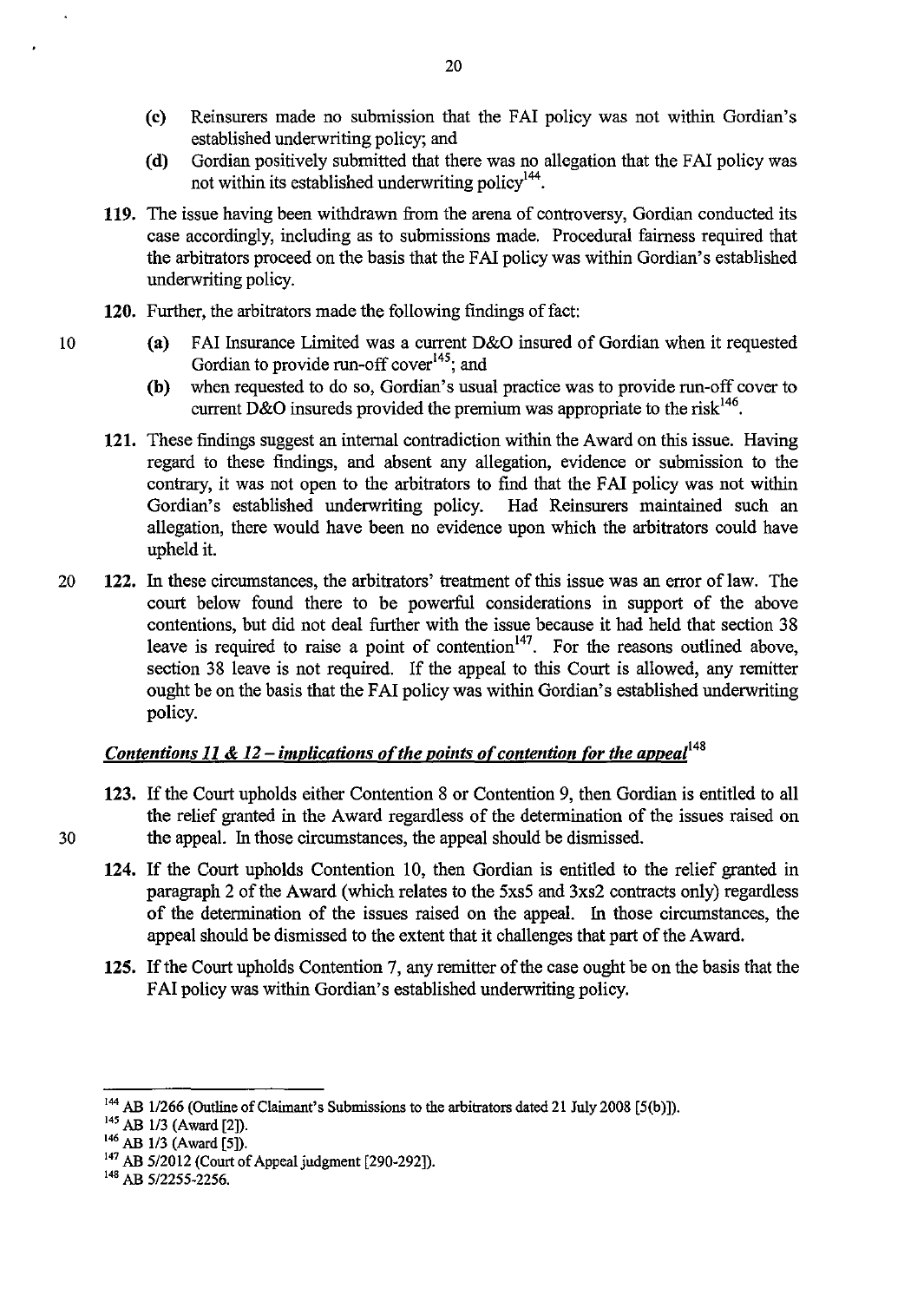- (c) Reinsurers made no submission that the FAI policy was not within Gordian's established underwriting policy; and
- (d) Gordian positively submitted that there was no allegation that the FAI policy was not within its established underwriting policy<sup>144</sup>.
- 119. The issue having been withdrawn from the arena of controversy, Gordian conducted its case accordingly, including as to submissions made. Procedural fairness required that the arbitrators proceed on the basis that the F AI policy was within Gordian's established underwriting policy.
- 120. Further, the arbitrators made the following findings of fact:
- 10 (a) FAI Insurance Limited was a current D&O insured of Gordian when it requested Gordian to provide run-off cover<sup>145</sup>; and
	- (b) when requested to do so, Gordian's usual practice was to provide run-off cover to current D&O insureds provided the premium was appropriate to the risk<sup>146</sup>.
	- **121.** These findings suggest an internal contradiction within the Award on this issue. Having regard to these findings, and absent any allegation, evidence or submission to the contrary, it was not open to the arbitrators to find that the FAI policy was not within Gordian's established underwriting policy. Had Reinsurers maintained such an allegation, there would have been no evidence upon which the arbitrators could have upheld it.
- 20 122. In these circumstances, the arbitrators' treatment of this issue was an error oflaw. The court below found there to be powerful considerations in support of the above contentions, but did not deal further with the issue because it had held that section 38 leave is required to raise a point of contention<sup>147</sup>. For the reasons outlined above, section 38 leave is not required. If the appeal to this Court is allowed, any remitter ought be on the basis that the FAI policy was within Gordian's established underwriting policy.

## *Contentions 11 & 12 – implications of the points of contention for the appeal*<sup>148</sup>

- 123. If the Court upholds either Contention 8 or Contention 9, then Gordian is entitled to all the relief granted in the Award regardless of the detennination of the issues raised on 30 the appeal. In those circumstances, the appeal should be dismissed.
	- 124. If the Court upholds Contention lO, then Gordian is entitled to the relief granted in paragraph 2 of the Award (which relates to the 5xs5 and 3xs2 contracts only) regardless of the determination of the issues raised on the appeal. In those circumstances, the appeal should be dismissed to the extent that it challenges that part of the Award.
	- 125. If the Court upholds Contention 7, any remitter of the case ought be on the basis that the FAI policy was within Gordian's established underwriting policy.

<sup>&</sup>lt;sup>144</sup> AB 1/266 (Outline of Claimant's Submissions to the arbitrators dated 21 July 2008 [5(b)]).

<sup>&</sup>lt;sup>145</sup> AB 1/3 (Award [2]).

<sup>&</sup>lt;sup>146</sup> AB 1/3 (Award [5]).

<sup>147</sup> AB 5/2012 (Court of Appeal judgment [290-292]).

 $148$  AB 5/2255-2256.